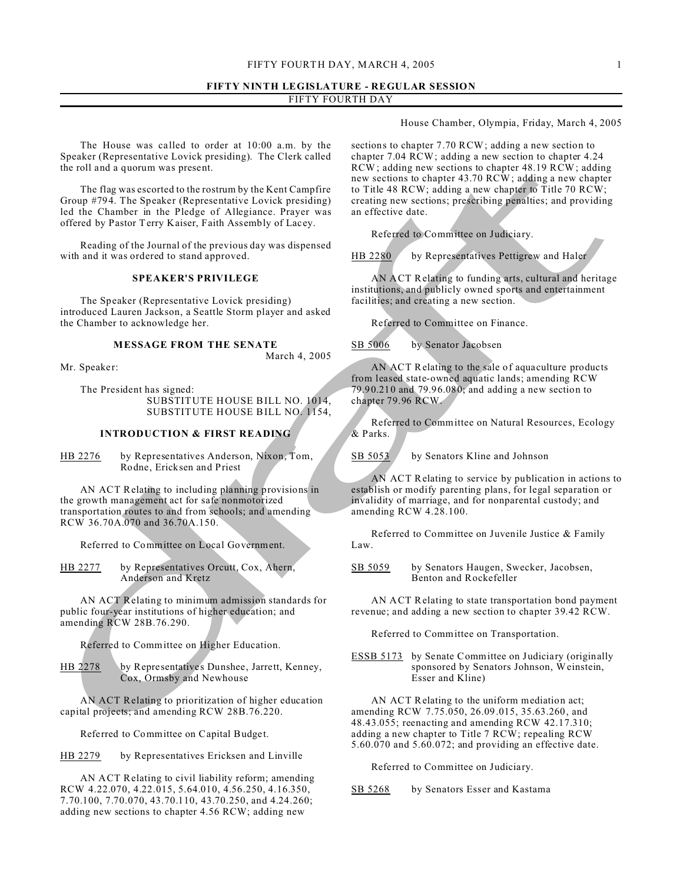# **FIFTY NINTH LEGISLATURE - REGULAR SESSION** FIFTY FOURTH DAY

House Chamber, Olympia, Friday, March 4, 2005

The House was ca lled to order at 10:00 a.m. by the Speaker (Representative Lovick presiding). The Clerk called the roll and a quorum was present.

The flag was escorted to the rostrum by the Kent Campfire Group #794. The Speaker (Representative Lovick presiding) led the Chamber in the Pledge of Allegiance. Prayer was offered by Pastor Terry Kaiser, Faith Assembly of Lacey.

Reading of the Journal of the previous day was dispensed with and it was ordered to stand approved.

#### **SPEAKER'S PRIVILEGE**

The Speaker (Representative Lovick presiding) introduced Lauren Jackson, a Seattle Storm player and asked the Chamber to acknowledge her.

# **MESSAGE FROM THE SENATE**

March 4, 2005

Mr. Speaker:

The President has signed: SUBSTITUTE HOUSE BILL NO. 1014, SUBSTITUTE HOUSE BILL NO. 1154,

#### **INTRODUCTION & FIRST READING**

HB 2276 by Representatives Anderson, Nixon, Tom, Rodne, Ericksen and Priest

AN ACT Relating to including planning provisions in the growth management act for safe nonmotorized transportation routes to and from schools; and amending RCW 36.70A.070 and 36.70A.150.

Referred to Committee on Local Government.

HB 2277 by Representatives Orcutt, Cox, Ahern, Anderson and Kretz

AN ACT Relating to minimum admission standards for public four-year institutions of higher education; and amending RCW 28B.76.290.

Referred to Committee on Higher Education.

HB 2278 by Representatives Dunshee, Jarrett, Kenney, Cox, Ormsby and Newhouse

AN ACT Relating to prioritization of higher education capital projects; and amending RCW 28B.76.220.

Referred to Committee on Capital Budget.

HB 2279 by Representatives Ericksen and Linville

AN ACT Relating to civil liability reform; amending RCW 4.22.070, 4.22.015, 5.64.010, 4.56.250, 4.16.350, 7.70.100, 7.70.070, 43.70.110, 43.70.250, and 4.24.260; adding new sections to chapter 4.56 RCW; adding new

sections to chapter 7.70 RCW; adding a new section to chapter 7.04 RCW; adding a new section to chapter 4.24 RCW; adding new sections to chapter 48.19 RCW; adding new sections to chapter 43.70 RCW; adding a new chapter to Title 48 RCW; adding a new chapter to Title 70 RCW; creating new sections; prescribing penalties; and providing an effective date.

Referred to Committee on Judiciary.

HB 2280 by Representatives Pettigrew and Haler

AN ACT Relating to funding arts, cultural and heritage institutions, and publicly owned sports and entertainment facilities; and creating a new section.

Referred to Committee on Finance.

SB 5006 by Senator Jacobsen

AN ACT Relating to the sale of aquaculture products from leased state-owned aquatic lands; amending RCW 79.90.210 and 79.96.080; and adding a new section to chapter 79.96 RCW.

Referred to Committee on Natural Resources, Ecology & Parks.

SB 5053 by Senators Kline and Johnson

AN ACT Relating to service by publication in actions to establish or modify parenting plans, for legal separation or invalidity of marriage, and for nonparental custody; and amending RCW 4.28.100.

Referred to Committee on Juvenile Justice & Family Law.

SB 5059 by Senators Haugen, Swecker, Jacobsen, Benton and Rockefeller

AN ACT Relating to state transportation bond payment revenue; and adding a new section to chapter 39.42 RCW.

Referred to Committee on Transportation.

ESSB 5173 by Senate Committee on Judiciary (originally sponsored by Senators Johnson, Weinstein, Esser and Kline)

AN ACT Relating to the uniform mediation act; amending RCW 7.75.050, 26.09.015, 35.63.260, and 48.43.055; reenacting and amending RCW 42.17.310; adding a new chapter to Title 7 RCW; repealing RCW 5.60.070 and 5.60.072; and providing an effective date.

Referred to Committee on Judiciary.

SB 5268 by Senators Esser and Kastama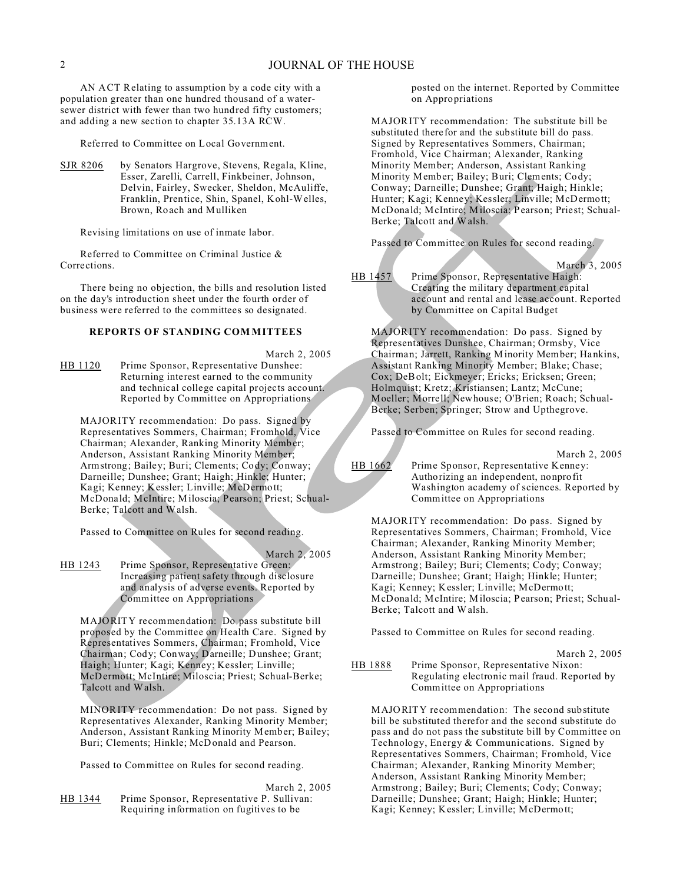AN ACT Relating to assumption by a code city with a population greater than one hundred thousand of a watersewer district with fewer than two hundred fifty customers; and adding a new section to chapter 35.13A RCW.

Referred to Committee on Local Government.

SJR 8206 by Senators Hargrove, Stevens, Regala, Kline, Esser, Zarelli, Carrell, Finkbeiner, Johnson, Delvin, Fairley, Swecker, Sheldon, McAuliffe, Franklin, Prentice, Shin, Spanel, Kohl-Welles, Brown, Roach and Mulliken

Revising limitations on use of inmate labor.

Referred to Committee on Criminal Justice & Corrections.

There being no objection, the bills and resolution listed on the day's introduction sheet under the fourth order of business were referred to the committees so designated.

# **REPORTS OF STANDING COM MITTEES**

March 2, 2005

HB 1120 Prime Sponsor, Representative Dunshee: Returning interest earned to the community and technical college capital projects account. Reported by Committee on Appropriations

MAJORITY recommendation: Do pass. Signed by Representatives Sommers, Chairman; Fromhold, Vice Chairman; Alexander, Ranking Minority Member; Anderson, Assistant Ranking Minority Member; Armstrong; Bailey; Buri; Clements; Cody; Conway; Darneille; Dunshee; Grant; Haigh; Hinkle; Hunter; Kagi; Kenney; Kessler; Linville; McDermott; McDonald; McIntire; Miloscia; Pearson; Priest; Schual-Berke; Talcott and Walsh.

Passed to Committee on Rules for second reading.

March 2, 2005

HB 1243 Prime Sponsor, Representative Green: Increasing patient safety through disclosure and analysis of adverse events. Reported by Committee on Appropriations

MAJORITY recommendation: Do pass substitute bill proposed by the Committee on Health Care. Signed by Representatives Sommers, Chairman; Fromhold, Vice Chairman; Cody; Conway; Darneille; Dunshee; Grant; Haigh; Hunter; Kagi; Kenney; Kessler; Linville; McDermott; McIntire; Miloscia; Priest; Schual-Berke; Talcott and Walsh.

MINORITY recommendation: Do not pass. Signed by Representatives Alexander, Ranking Minority Member; Anderson, Assistant Ranking Minority Member; Bailey; Buri; Clements; Hinkle; McDonald and Pearson.

Passed to Committee on Rules for second reading.

March 2, 2005

HB 1344 Prime Sponsor, Representative P. Sullivan: Requiring information on fugitives to be

posted on the internet. Reported by Committee on Appropriations

MAJORITY recommendation: The substitute bill be substituted therefor and the substitute bill do pass. Signed by Representatives Sommers, Chairman; Fromhold, Vice Chairman; Alexander, Ranking Minority Member; Anderson, Assistant Ranking Minority Member; Bailey; Buri; Clements; Cody; Conway; Darneille; Dunshee; Grant; Haigh; Hinkle; Hunter; Kagi; Kenney; Kessler; Linville; McDermott; McDonald; McIntire; Miloscia; Pearson; Priest; Schual-Berke; Talcott and Walsh.

Passed to Committee on Rules for second reading.

March 3, 2005

HB 1457 Prime Sponsor, Representative Haigh: Creating the military department capital account and rental and lease account. Reported by Committee on Capital Budget

MAJORITY recommendation: Do pass. Signed by Representatives Dunshee, Chairman; Ormsby, Vice Chairman; Jarrett, Ranking Minority Member; Hankins, Assistant Ranking Minority Member; Blake; Chase; Cox; DeBolt; Eickmeyer; Ericks; Ericksen; Green; Holmquist; Kretz; Kristiansen; Lantz; McCune; Moeller; Morrell; Newhouse; O'Brien; Roach; Schual-Berke; Serben; Springer; Strow and Upthegrove.

Passed to Committee on Rules for second reading.

March 2, 2005

HB 1662 Prime Sponsor, Representative Kenney: Authorizing an independent, nonprofit Washington academy of sciences. Reported by Committee on Appropriations

MAJORITY recommendation: Do pass. Signed by Representatives Sommers, Chairman; Fromhold, Vice Chairman; Alexander, Ranking Minority Member; Anderson, Assistant Ranking Minority Member; Armstrong; Bailey; Buri; Clements; Cody; Conway; Darneille; Dunshee; Grant; Haigh; Hinkle; Hunter; Kagi; Kenney; Kessler; Linville; McDermott; McDonald; McIntire; Miloscia; Pearson; Priest; Schual-Berke; Talcott and Walsh.

Passed to Committee on Rules for second reading.

March 2, 2005

HB 1888 Prime Sponsor, Representative Nixon: Regulating electronic mail fraud. Reported by Committee on Appropriations

MAJORITY recommendation: The second substitute bill be substituted therefor and the second substitute do pass and do not pass the substitute bill by Committee on Technology, Energy & Communications. Signed by Representatives Sommers, Chairman; Fromhold, Vice Chairman; Alexander, Ranking Minority Member; Anderson, Assistant Ranking Minority Member; Armstrong; Bailey; Buri; Clements; Cody; Conway; Darneille; Dunshee; Grant; Haigh; Hinkle; Hunter; Kagi; Kenney; Kessler; Linville; McDermott;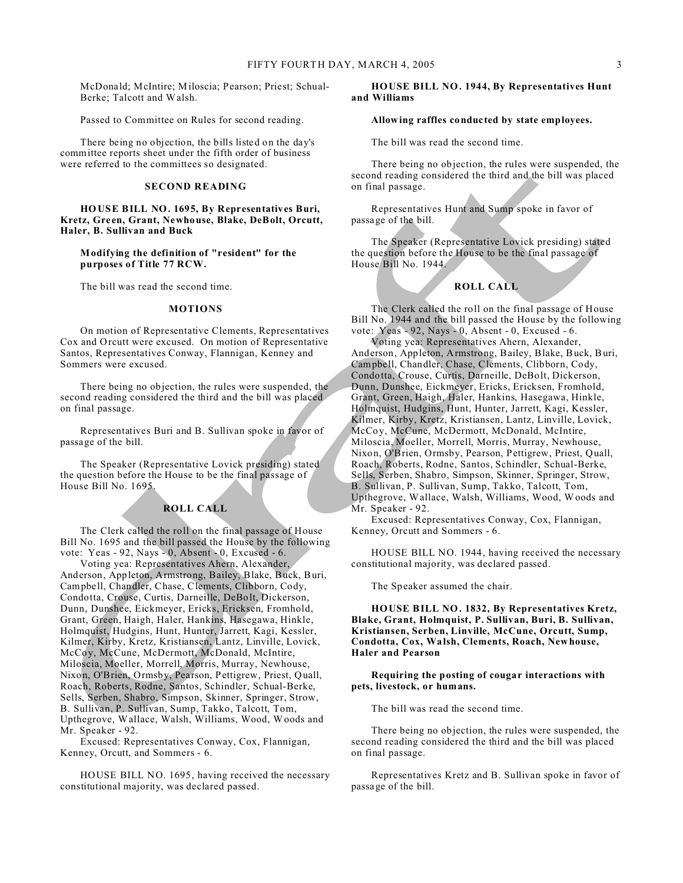McDonald; McIntire; Miloscia; Pearson; Priest; Schual-Berke; Talcott and Walsh.

Passed to Committee on Rules for second reading.

There being no objection, the bills listed on the day's committee reports sheet under the fifth order of business were referred to the committees so designated.

# **SECOND READING**

**HOUSE BILL NO. 1695, By Representatives Buri, Kretz, Green, Grant, Newhouse, Blake, DeBolt, Orcutt, Haler, B. Sullivan and Buck**

# **Modifying the definition of "resident" for the purposes of Title 77 RCW.**

The bill was read the second time.

#### **MOTIONS**

On motion of Representative Clements, Representatives Cox and Orcutt were excused. On motion of Representative Santos, Representatives Conway, Flannigan, Kenney and Sommers were excused.

There being no objection, the rules were suspended, the second reading considered the third and the bill was placed on final passage.

Representatives Buri and B. Sullivan spoke in favor of passage of the bill.

The Speaker (Representative Lovick presiding) stated the question before the House to be the final passage of House Bill No. 1695.

## **ROLL CALL**

The Clerk called the roll on the final passage of House Bill No. 1695 and the bill passed the House by the following vote: Yeas - 92, Nays - 0, Absent - 0, Excused - 6.

Voting yea: Representatives Ahern, Alexander, Anderson, Appleton, Armstrong, Bailey, Blake, Buck, Buri, Campbell, Chandler, Chase, Clements, Clibborn, Cody, Condotta, Crouse, Curtis, Darneille, DeBolt, Dickerson, Dunn, Dunshee, Eickmeyer, Ericks, Ericksen, Fromhold, Grant, Green, Haigh, Haler, Hankins, Hasegawa, Hinkle, Holmquist, Hudgins, Hunt, Hunter, Jarrett, Kagi, Kessler, Kilmer, Kirby, Kretz, Kristiansen, Lantz, Linville, Lovick, McCoy, McCune, McDermott, McDonald, McIntire, Miloscia, Moeller, Morrell, Morris, Murray, Newhouse, Nixon, O'Brien, Ormsby, Pearson, Pettigrew, Priest, Quall, Roach, Roberts, Rodne, Santos, Schindler, Schual-Berke, Sells, Serben, Shabro, Simpson, Skinner, Springer, Strow, B. Sullivan, P. Sullivan, Sump, Takko, Talcott, Tom, Upthegrove, Wallace, Walsh, Williams, Wood, Woods and Mr. Speaker - 92.

Excused: Representatives Conway, Cox, Flannigan, Kenney, Orcutt, and Sommers - 6.

HOUSE BILL NO. 1695, having received the necessary constitutional majority, was declared passed.

#### **HOUSE BILL NO. 1944, By Representatives Hunt and Williams**

#### **Allowing raffles conducted by state employees.**

The bill was read the second time.

There being no objection, the rules were suspended, the second reading considered the third and the bill was placed on final passage.

Representatives Hunt and Sump spoke in favor of passage of the bill.

The Speaker (Representative Lovick presiding) stated the question before the House to be the final passage of House Bill No. 1944.

## **ROLL CALL**

The Clerk called the roll on the final passage of House Bill No. 1944 and the bill passed the House by the following vote: Yeas - 92, Nays - 0, Absent - 0, Excused - 6.

Voting yea: Representatives Ahern, Alexander, Anderson, Appleton, Armstrong, Bailey, Blake, Buck, Buri, Campbell, Chandler, Chase, Clements, Clibborn, Cody, Condotta, Crouse, Curtis, Darneille, DeBolt, Dickerson, Dunn, Dunshee, Eickmeyer, Ericks, Ericksen, Fromhold, Grant, Green, Haigh, Haler, Hankins, Hasegawa, Hinkle, Holmquist, Hudgins, Hunt, Hunter, Jarrett, Kagi, Kessler, Kilmer, Kirby, Kretz, Kristiansen, Lantz, Linville, Lovick, McCoy, McCune, McDermott, McDonald, McIntire, Miloscia, Moeller, Morrell, Morris, Murray, Newhouse, Nixon, O'Brien, Ormsby, Pearson, Pettigrew, Priest, Quall, Roach, Roberts, Rodne, Santos, Schindler, Schual-Berke, Sells, Serben, Shabro, Simpson, Skinner, Springer, Strow, B. Sullivan, P. Sullivan, Sump, Takko, Talcott, Tom, Upthegrove, Wallace, Walsh, Williams, Wood, Woods and Mr. Speaker - 92.

Excused: Representatives Conway, Cox, Flannigan, Kenney, Orcutt and Sommers - 6.

HOUSE BILL NO. 1944, having received the necessary constitutional majority, was declared passed.

The Speaker assumed the chair.

**HOUSE BILL NO. 1832, By Representatives Kretz, Blake, Grant, Holmquist, P. Sullivan, Buri, B. Sullivan, Kristiansen, Serben, Linville, McCune, Orcutt, Sump, Condotta, Cox, Walsh, Clements, Roach, Newhouse, Haler and Pearson**

**Requiring the posting of cougar interactions with pets, livestock, or humans.**

The bill was read the second time.

There being no objection, the rules were suspended, the second reading considered the third and the bill was placed on final passage.

Representatives Kretz and B. Sullivan spoke in favor of passage of the bill.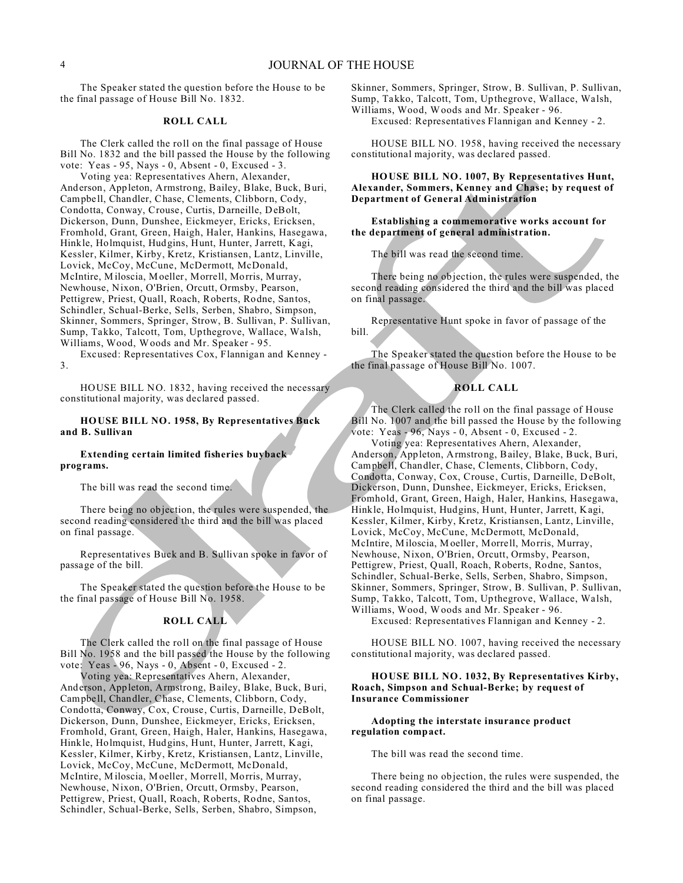# 4 JOURNAL OF THE HOUSE

The Speaker stated the question before the House to be the final passage of House Bill No. 1832.

# **ROLL CALL**

The Clerk called the roll on the final passage of House Bill No. 1832 and the bill passed the House by the following vote: Yeas - 95, Nays - 0, Absent - 0, Excused - 3.

Voting yea: Representatives Ahern, Alexander, Anderson, Appleton, Armstrong, Bailey, Blake, Buck, Buri, Campbell, Chandler, Chase, Clements, Clibborn, Cody, Condotta, Conway, Crouse, Curtis, Darneille, DeBolt, Dickerson, Dunn, Dunshee, Eickmeyer, Ericks, Ericksen, Fromhold, Grant, Green, Haigh, Haler, Hankins, Hasegawa, Hinkle, Holmquist, Hudgins, Hunt, Hunter, Jarrett, Kagi, Kessler, Kilmer, Kirby, Kretz, Kristiansen, Lantz, Linville, Lovick, McCoy, McCune, McDermott, McDonald, McIntire, Miloscia, Moeller, Morrell, Morris, Murray, Newhouse, Nixon, O'Brien, Orcutt, Ormsby, Pearson, Pettigrew, Priest, Quall, Roach, Roberts, Rodne, Santos, Schindler, Schual-Berke, Sells, Serben, Shabro, Simpson, Skinner, Sommers, Springer, Strow, B. Sullivan, P. Sullivan, Sump, Takko, Talcott, Tom, Upthegrove, Wallace, Walsh, Williams, Wood, Woods and Mr. Speaker - 95.

Excused: Representatives Cox, Flannigan and Kenney - 3.

HOUSE BILL NO. 1832, having received the necessary constitutional majority, was declared passed.

# **HOUSE BILL NO. 1958, By Representatives Buck and B. Sullivan**

# **Extending certain limited fisheries buyback programs.**

The bill was read the second time.

There being no objection, the rules were suspended, the second reading considered the third and the bill was placed on final passage.

Representatives Buck and B. Sullivan spoke in favor of passage of the bill.

The Speaker stated the question before the House to be the final passage of House Bill No. 1958.

#### **ROLL CALL**

The Clerk called the roll on the final passage of House Bill No. 1958 and the bill passed the House by the following vote: Yeas - 96, Nays - 0, Absent - 0, Excused - 2.

Voting yea: Representatives Ahern, Alexander, Anderson, Appleton, Armstrong, Bailey, Blake, Buck, Buri, Campbell, Chandler, Chase, Clements, Clibborn, Cody, Condotta, Conway, Cox, Crouse, Curtis, Darneille, DeBolt, Dickerson, Dunn, Dunshee, Eickmeyer, Ericks, Ericksen, Fromhold, Grant, Green, Haigh, Haler, Hankins, Hasegawa, Hinkle, Holmquist, Hudgins, Hunt, Hunter, Jarrett, Kagi, Kessler, Kilmer, Kirby, Kretz, Kristiansen, Lantz, Linville, Lovick, McCoy, McCune, McDermott, McDonald, McIntire, Miloscia, Moeller, Morrell, Morris, Murray, Newhouse, Nixon, O'Brien, Orcutt, Ormsby, Pearson, Pettigrew, Priest, Quall, Roach, Roberts, Rodne, Santos, Schindler, Schual-Berke, Sells, Serben, Shabro, Simpson,

Skinner, Sommers, Springer, Strow, B. Sullivan, P. Sullivan, Sump, Takko, Talcott, Tom, Upthegrove, Wallace, Walsh, Williams, Wood, Woods and Mr. Speaker - 96.

Excused: Representatives Flannigan and Kenney - 2.

HOUSE BILL NO. 1958, having received the necessary constitutional majority, was declared passed.

# **HOUSE BILL NO. 1007, By Representatives Hunt, Alexander, Sommers, Kenney and Chase; by request of Department of General Administration**

**Establishing a commemorative works account for the department of general administration.**

The bill was read the second time.

There being no objection, the rules were suspended, the second reading considered the third and the bill was placed on final passage.

Representative Hunt spoke in favor of passage of the bill.

The Speaker stated the question before the House to be the final passage of House Bill No. 1007.

#### **ROLL CALL**

The Clerk called the roll on the final passage of House Bill No. 1007 and the bill passed the House by the following vote: Yeas - 96, Nays - 0, Absent - 0, Excused - 2.

Voting yea: Representatives Ahern, Alexander, Anderson, Appleton, Armstrong, Bailey, Blake, Buck, Buri, Campbell, Chandler, Chase, Clements, Clibborn, Cody, Condotta, Conway, Cox, Crouse, Curtis, Darneille, DeBolt, Dickerson, Dunn, Dunshee, Eickmeyer, Ericks, Ericksen, Fromhold, Grant, Green, Haigh, Haler, Hankins, Hasegawa, Hinkle, Holmquist, Hudgins, Hunt, Hunter, Jarrett, Kagi, Kessler, Kilmer, Kirby, Kretz, Kristiansen, Lantz, Linville, Lovick, McCoy, McCune, McDermott, McDonald, McIntire, Miloscia, Moeller, Morrell, Morris, Murray, Newhouse, Nixon, O'Brien, Orcutt, Ormsby, Pearson, Pettigrew, Priest, Quall, Roach, Roberts, Rodne, Santos, Schindler, Schual-Berke, Sells, Serben, Shabro, Simpson, Skinner, Sommers, Springer, Strow, B. Sullivan, P. Sullivan, Sump, Takko, Talcott, Tom, Upthegrove, Wallace, Walsh, Williams, Wood, Woods and Mr. Speaker - 96.

Excused: Representatives Flannigan and Kenney - 2.

HOUSE BILL NO. 1007, having received the necessary constitutional majority, was declared passed.

#### **HOUSE BILL NO. 1032, By Representatives Kirby, Roach, Simpson and Schual-Berke; by request of Insurance Commissioner**

#### **Adopting the interstate insurance product regulation compact.**

The bill was read the second time.

There being no objection, the rules were suspended, the second reading considered the third and the bill was placed on final passage.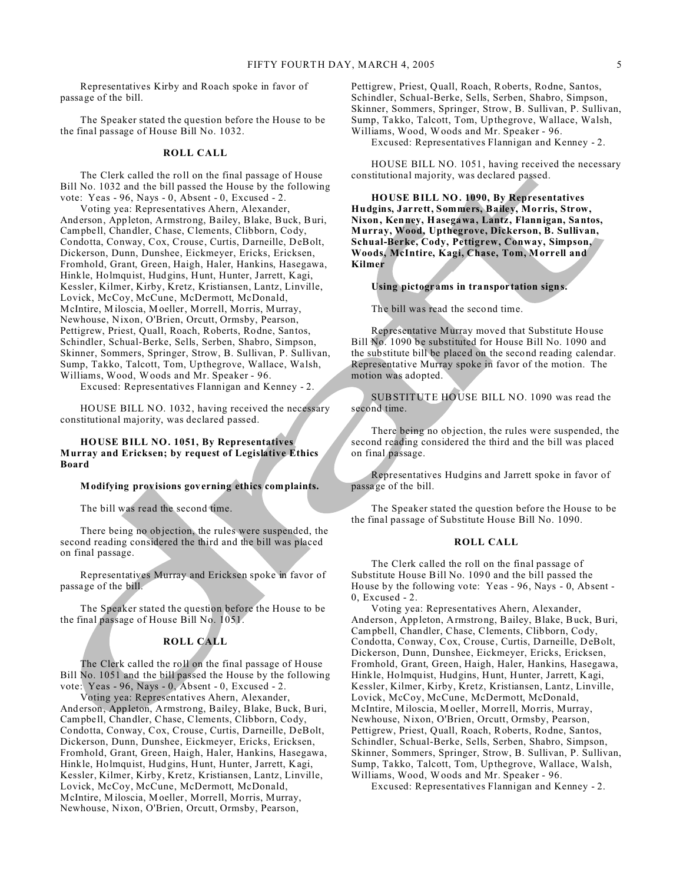Representatives Kirby and Roach spoke in favor of passage of the bill.

The Speaker stated the question before the House to be the final passage of House Bill No. 1032.

#### **ROLL CALL**

The Clerk called the roll on the final passage of House Bill No. 1032 and the bill passed the House by the following vote: Yeas - 96, Nays - 0, Absent - 0, Excused - 2.

Voting yea: Representatives Ahern, Alexander, Anderson, Appleton, Armstrong, Bailey, Blake, Buck, Buri, Campbell, Chandler, Chase, Clements, Clibborn, Cody, Condotta, Conway, Cox, Crouse, Curtis, Darneille, DeBolt, Dickerson, Dunn, Dunshee, Eickmeyer, Ericks, Ericksen, Fromhold, Grant, Green, Haigh, Haler, Hankins, Hasegawa, Hinkle, Holmquist, Hudgins, Hunt, Hunter, Jarrett, Kagi, Kessler, Kilmer, Kirby, Kretz, Kristiansen, Lantz, Linville, Lovick, McCoy, McCune, McDermott, McDonald, McIntire, Miloscia, Moeller, Morrell, Morris, Murray, Newhouse, Nixon, O'Brien, Orcutt, Ormsby, Pearson, Pettigrew, Priest, Quall, Roach, Roberts, Rodne, Santos, Schindler, Schual-Berke, Sells, Serben, Shabro, Simpson, Skinner, Sommers, Springer, Strow, B. Sullivan, P. Sullivan, Sump, Takko, Talcott, Tom, Upthegrove, Wallace, Walsh, Williams, Wood, Woods and Mr. Speaker - 96.

Excused: Representatives Flannigan and Kenney - 2.

HOUSE BILL NO. 1032, having received the necessary constitutional majority, was declared passed.

#### **HOUSE BILL NO. 1051, By Representatives Murray and Ericksen; by request of Legislative Ethics Board**

#### **Modifying provisions governing ethics complaints.**

The bill was read the second time.

There being no objection, the rules were suspended, the second reading considered the third and the bill was placed on final passage.

Representatives Murray and Ericksen spoke in favor of passage of the bill.

The Speaker stated the question before the House to be the final passage of House Bill No. 1051.

# **ROLL CALL**

The Clerk called the roll on the final passage of House Bill No. 1051 and the bill passed the House by the following vote: Yeas - 96, Nays - 0, Absent - 0, Excused - 2.

Voting yea: Representatives Ahern, Alexander, Anderson, Appleton, Armstrong, Bailey, Blake, Buck, Buri, Campbell, Chandler, Chase, Clements, Clibborn, Cody, Condotta, Conway, Cox, Crouse, Curtis, Darneille, DeBolt, Dickerson, Dunn, Dunshee, Eickmeyer, Ericks, Ericksen, Fromhold, Grant, Green, Haigh, Haler, Hankins, Hasegawa, Hinkle, Holmquist, Hudgins, Hunt, Hunter, Jarrett, Kagi, Kessler, Kilmer, Kirby, Kretz, Kristiansen, Lantz, Linville, Lovick, McCoy, McCune, McDermott, McDonald, McIntire, Miloscia, Moeller, Morrell, Morris, Murray, Newhouse, Nixon, O'Brien, Orcutt, Ormsby, Pearson,

Pettigrew, Priest, Quall, Roach, Roberts, Rodne, Santos, Schindler, Schual-Berke, Sells, Serben, Shabro, Simpson, Skinner, Sommers, Springer, Strow, B. Sullivan, P. Sullivan, Sump, Takko, Talcott, Tom, Upthegrove, Wallace, Walsh, Williams, Wood, Woods and Mr. Speaker - 96.

Excused: Representatives Flannigan and Kenney - 2.

HOUSE BILL NO. 1051, having received the necessary constitutional majority, was declared passed.

**HOUSE BILL NO. 1090, By Representatives Hudgins, Jarrett, Sommers, Bailey, Morris, Strow, Nixon, Kenney, Hasegawa, Lantz, Flannigan, Santos, Murray, Wood, Upthegrove, Dickerson, B. Sullivan, Schual-Berke, Cody, Pettigrew, Conway, Simpson, Woods, McIntire, Kagi, Chase, Tom, Morrell and Kilmer**

#### **Using pictograms in transportation signs.**

The bill was read the second time.

Representative Murray moved that Substitute House Bill No. 1090 be substituted for House Bill No. 1090 and the substitute bill be placed on the second reading calendar. Representative Murray spoke in favor of the motion. The motion was adopted.

SUBSTITUTE HOUSE BILL NO. 1090 was read the second time.

There being no objection, the rules were suspended, the second reading considered the third and the bill was placed on final passage.

Representatives Hudgins and Jarrett spoke in favor of passage of the bill.

The Speaker stated the question before the House to be the final passage of Substitute House Bill No. 1090.

#### **ROLL CALL**

The Clerk called the roll on the final passage of Substitute House Bill No. 1090 and the bill passed the House by the following vote: Yeas - 96, Nays - 0, Absent - 0, Excused - 2.

Voting yea: Representatives Ahern, Alexander, Anderson, Appleton, Armstrong, Bailey, Blake, Buck, Buri, Campbell, Chandler, Chase, Clements, Clibborn, Cody, Condotta, Conway, Cox, Crouse, Curtis, Darneille, DeBolt, Dickerson, Dunn, Dunshee, Eickmeyer, Ericks, Ericksen, Fromhold, Grant, Green, Haigh, Haler, Hankins, Hasegawa, Hinkle, Holmquist, Hudgins, Hunt, Hunter, Jarrett, Kagi, Kessler, Kilmer, Kirby, Kretz, Kristiansen, Lantz, Linville, Lovick, McCoy, McCune, McDermott, McDonald, McIntire, Miloscia, Moeller, Morrell, Morris, Murray, Newhouse, Nixon, O'Brien, Orcutt, Ormsby, Pearson, Pettigrew, Priest, Quall, Roach, Roberts, Rodne, Santos, Schindler, Schual-Berke, Sells, Serben, Shabro, Simpson, Skinner, Sommers, Springer, Strow, B. Sullivan, P. Sullivan, Sump, Takko, Talcott, Tom, Upthegrove, Wallace, Walsh, Williams, Wood, Woods and Mr. Speaker - 96.

Excused: Representatives Flannigan and Kenney - 2.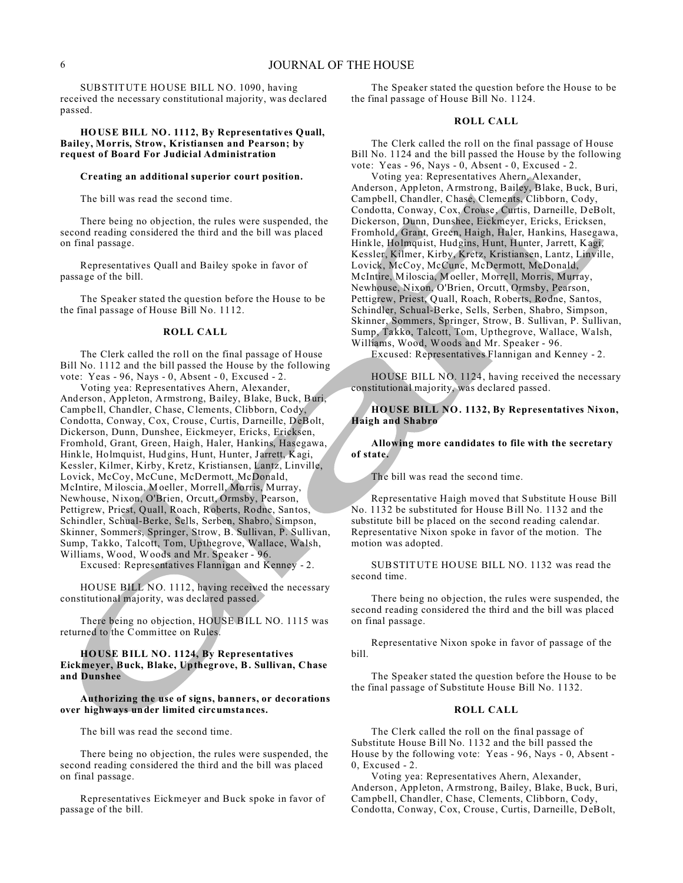SUBSTITUTE HOUSE BILL NO. 1090, having received the necessary constitutional majority, was declared passed.

#### **HOUSE BILL NO. 1112, By Representatives Quall, Bailey, Morris, Strow, Kristiansen and Pearson; by request of Board For Judicial Administration**

#### **Creating an additional superior court position.**

The bill was read the second time.

There being no objection, the rules were suspended, the second reading considered the third and the bill was placed on final passage.

Representatives Quall and Bailey spoke in favor of passage of the bill.

The Speaker stated the question before the House to be the final passage of House Bill No. 1112.

#### **ROLL CALL**

The Clerk called the roll on the final passage of House Bill No. 1112 and the bill passed the House by the following vote: Yeas - 96, Nays - 0, Absent - 0, Excused - 2.

Voting yea: Representatives Ahern, Alexander, Anderson, Appleton, Armstrong, Bailey, Blake, Buck, Buri, Campbell, Chandler, Chase, Clements, Clibborn, Cody, Condotta, Conway, Cox, Crouse, Curtis, Darneille, DeBolt, Dickerson, Dunn, Dunshee, Eickmeyer, Ericks, Ericksen, Fromhold, Grant, Green, Haigh, Haler, Hankins, Hasegawa, Hinkle, Holmquist, Hudgins, Hunt, Hunter, Jarrett, Kagi, Kessler, Kilmer, Kirby, Kretz, Kristiansen, Lantz, Linville, Lovick, McCoy, McCune, McDermott, McDonald, McIntire, Miloscia, Moeller, Morrell, Morris, Murray, Newhouse, Nixon, O'Brien, Orcutt, Ormsby, Pearson, Pettigrew, Priest, Quall, Roach, Roberts, Rodne, Santos, Schindler, Schual-Berke, Sells, Serben, Shabro, Simpson, Skinner, Sommers, Springer, Strow, B. Sullivan, P. Sullivan, Sump, Takko, Talcott, Tom, Upthegrove, Wallace, Walsh, Williams, Wood, Woods and Mr. Speaker - 96.

Excused: Representatives Flannigan and Kenney - 2.

HOUSE BILL NO. 1112, having received the necessary constitutional majority, was declared passed.

There being no objection, HOUSE BILL NO. 1115 was returned to the Committee on Rules.

#### **HOUSE BILL NO. 1124, By Representatives Eickmeyer, Buck, Blake, Upthegrove, B. Sullivan, Chase and Dunshee**

**Authorizing the use of signs, banners, or decorations over highways under limited circumstances.**

The bill was read the second time.

There being no objection, the rules were suspended, the second reading considered the third and the bill was placed on final passage.

Representatives Eickmeyer and Buck spoke in favor of passage of the bill.

The Speaker stated the question before the House to be the final passage of House Bill No. 1124.

# **ROLL CALL**

The Clerk called the roll on the final passage of House Bill No. 1124 and the bill passed the House by the following vote: Yeas - 96, Nays - 0, Absent - 0, Excused - 2.

Voting yea: Representatives Ahern, Alexander, Anderson, Appleton, Armstrong, Bailey, Blake, Buck, Buri, Campbell, Chandler, Chase, Clements, Clibborn, Cody, Condotta, Conway, Cox, Crouse, Curtis, Darneille, DeBolt, Dickerson, Dunn, Dunshee, Eickmeyer, Ericks, Ericksen, Fromhold, Grant, Green, Haigh, Haler, Hankins, Hasegawa, Hinkle, Holmquist, Hudgins, Hunt, Hunter, Jarrett, Kagi, Kessler, Kilmer, Kirby, Kretz, Kristiansen, Lantz, Linville, Lovick, McCoy, McCune, McDermott, McDonald, McIntire, Miloscia, Moeller, Morrell, Morris, Murray, Newhouse, Nixon, O'Brien, Orcutt, Ormsby, Pearson, Pettigrew, Priest, Quall, Roach, Roberts, Rodne, Santos, Schindler, Schual-Berke, Sells, Serben, Shabro, Simpson, Skinner, Sommers, Springer, Strow, B. Sullivan, P. Sullivan, Sump, Takko, Talcott, Tom, Upthegrove, Wallace, Walsh, Williams, Wood, Woods and Mr. Speaker - 96.

Excused: Representatives Flannigan and Kenney - 2.

HOUSE BILL NO. 1124, having received the necessary constitutional majority, was declared passed.

# **HOUSE BILL NO. 1132, By Representatives Nixon, Haigh and Shabro**

## **Allowing more candidates to file with the secretary of state.**

The bill was read the second time.

Representative Haigh moved that Substitute House Bill No. 1132 be substituted for House Bill No. 1132 and the substitute bill be placed on the second reading calendar. Representative Nixon spoke in favor of the motion. The motion was adopted.

SUBSTITUTE HOUSE BILL NO. 1132 was read the second time.

There being no objection, the rules were suspended, the second reading considered the third and the bill was placed on final passage.

Representative Nixon spoke in favor of passage of the bill.

The Speaker stated the question before the House to be the final passage of Substitute House Bill No. 1132.

#### **ROLL CALL**

The Clerk called the roll on the final passage of Substitute House Bill No. 1132 and the bill passed the House by the following vote: Yeas - 96, Nays - 0, Absent - 0, Excused - 2.

Voting yea: Representatives Ahern, Alexander, Anderson, Appleton, Armstrong, Bailey, Blake, Buck, Buri, Campbell, Chandler, Chase, Clements, Clibborn, Cody, Condotta, Conway, Cox, Crouse, Curtis, Darneille, DeBolt,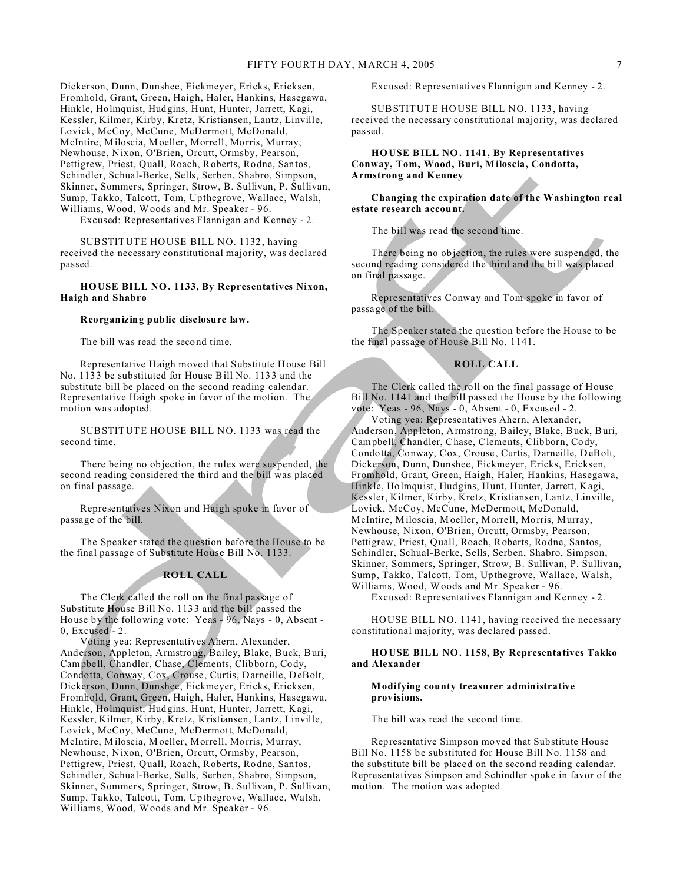Dickerson, Dunn, Dunshee, Eickmeyer, Ericks, Ericksen, Fromhold, Grant, Green, Haigh, Haler, Hankins, Hasegawa, Hinkle, Holmquist, Hudgins, Hunt, Hunter, Jarrett, Kagi, Kessler, Kilmer, Kirby, Kretz, Kristiansen, Lantz, Linville, Lovick, McCoy, McCune, McDermott, McDonald, McIntire, Miloscia, Moeller, Morrell, Morris, Murray, Newhouse, Nixon, O'Brien, Orcutt, Ormsby, Pearson, Pettigrew, Priest, Quall, Roach, Roberts, Rodne, Santos, Schindler, Schual-Berke, Sells, Serben, Shabro, Simpson, Skinner, Sommers, Springer, Strow, B. Sullivan, P. Sullivan, Sump, Takko, Talcott, Tom, Upthegrove, Wallace, Walsh, Williams, Wood, Woods and Mr. Speaker - 96.

Excused: Representatives Flannigan and Kenney - 2.

SUBSTITUTE HOUSE BILL NO. 1132, having received the necessary constitutional majority, was declared passed.

#### **HOUSE BILL NO. 1133, By Representatives Nixon, Haigh and Shabro**

#### **Reorganizing public disclosure law.**

The bill was read the second time.

Representative Haigh moved that Substitute House Bill No. 1133 be substituted for House Bill No. 1133 and the substitute bill be placed on the second reading calendar. Representative Haigh spoke in favor of the motion. The motion was adopted.

SUBSTITUTE HOUSE BILL NO. 1133 was read the second time.

There being no objection, the rules were suspended, the second reading considered the third and the bill was placed on final passage.

Representatives Nixon and Haigh spoke in favor of passage of the bill.

The Speaker stated the question before the House to be the final passage of Substitute House Bill No. 1133.

### **ROLL CALL**

The Clerk called the roll on the final passage of Substitute House Bill No. 1133 and the bill passed the House by the following vote: Yeas - 96, Nays - 0, Absent - 0, Excused - 2.

Voting yea: Representatives Ahern, Alexander, Anderson, Appleton, Armstrong, Bailey, Blake, Buck, Buri, Campbell, Chandler, Chase, Clements, Clibborn, Cody, Condotta, Conway, Cox, Crouse, Curtis, Darneille, DeBolt, Dickerson, Dunn, Dunshee, Eickmeyer, Ericks, Ericksen, Fromhold, Grant, Green, Haigh, Haler, Hankins, Hasegawa, Hinkle, Holmquist, Hudgins, Hunt, Hunter, Jarrett, Kagi, Kessler, Kilmer, Kirby, Kretz, Kristiansen, Lantz, Linville, Lovick, McCoy, McCune, McDermott, McDonald, McIntire, Miloscia, Moeller, Morrell, Morris, Murray, Newhouse, Nixon, O'Brien, Orcutt, Ormsby, Pearson, Pettigrew, Priest, Quall, Roach, Roberts, Rodne, Santos, Schindler, Schual-Berke, Sells, Serben, Shabro, Simpson, Skinner, Sommers, Springer, Strow, B. Sullivan, P. Sullivan, Sump, Takko, Talcott, Tom, Upthegrove, Wallace, Walsh, Williams, Wood, Woods and Mr. Speaker - 96.

Excused: Representatives Flannigan and Kenney - 2.

SUBSTITUTE HOUSE BILL NO. 1133, having received the necessary constitutional majority, was declared passed.

# **HOUSE BILL NO. 1141, By Representatives Conway, Tom, Wood, Buri, Miloscia, Condotta, Armstrong and Kenney**

# **Changing the expiration date of the Washington real estate research account.**

The bill was read the second time.

There being no objection, the rules were suspended, the second reading considered the third and the bill was placed on final passage.

Representatives Conway and Tom spoke in favor of passage of the bill.

The Speaker stated the question before the House to be the final passage of House Bill No. 1141.

#### **ROLL CALL**

The Clerk called the roll on the final passage of House Bill No. 1141 and the bill passed the House by the following vote: Yeas - 96, Nays - 0, Absent - 0, Excused - 2.

Voting yea: Representatives Ahern, Alexander, Anderson, Appleton, Armstrong, Bailey, Blake, Buck, Buri, Campbell, Chandler, Chase, Clements, Clibborn, Cody, Condotta, Conway, Cox, Crouse, Curtis, Darneille, DeBolt, Dickerson, Dunn, Dunshee, Eickmeyer, Ericks, Ericksen, Fromhold, Grant, Green, Haigh, Haler, Hankins, Hasegawa, Hinkle, Holmquist, Hudgins, Hunt, Hunter, Jarrett, Kagi, Kessler, Kilmer, Kirby, Kretz, Kristiansen, Lantz, Linville, Lovick, McCoy, McCune, McDermott, McDonald, McIntire, Miloscia, Moeller, Morrell, Morris, Murray, Newhouse, Nixon, O'Brien, Orcutt, Ormsby, Pearson, Pettigrew, Priest, Quall, Roach, Roberts, Rodne, Santos, Schindler, Schual-Berke, Sells, Serben, Shabro, Simpson, Skinner, Sommers, Springer, Strow, B. Sullivan, P. Sullivan, Sump, Takko, Talcott, Tom, Upthegrove, Wallace, Walsh, Williams, Wood, Woods and Mr. Speaker - 96. Excused: Representatives Flannigan and Kenney - 2.

HOUSE BILL NO. 1141, having received the necessary constitutional majority, was declared passed.

#### **HOUSE BILL NO. 1158, By Representatives Takko and Alexander**

#### **Modifying county treasurer administrative provisions.**

The bill was read the second time.

Representative Simpson moved that Substitute House Bill No. 1158 be substituted for House Bill No. 1158 and the substitute bill be placed on the second reading calendar. Representatives Simpson and Schindler spoke in favor of the motion. The motion was adopted.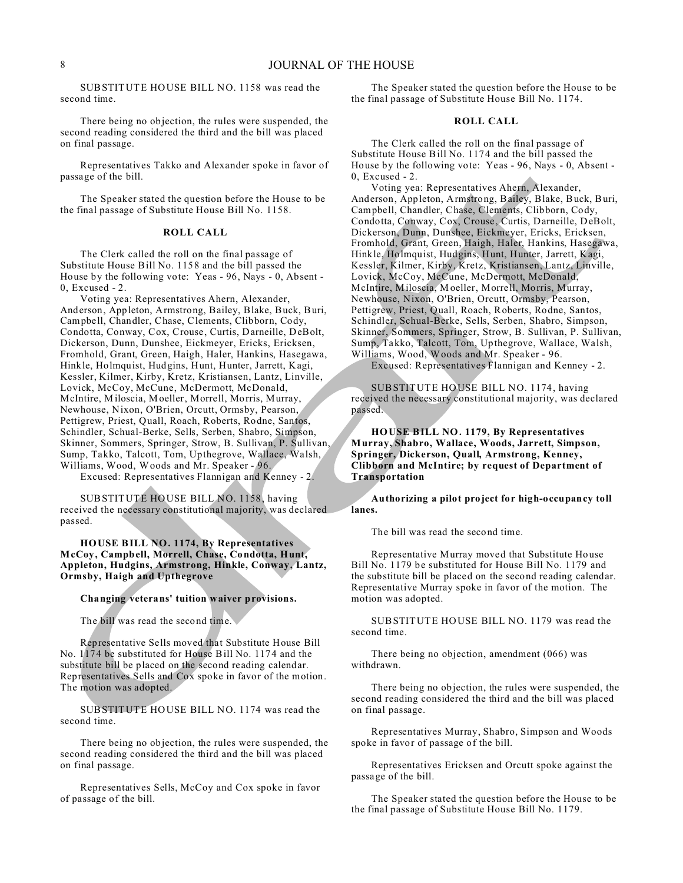SUBSTITUTE HOUSE BILL NO. 1158 was read the second time.

There being no objection, the rules were suspended, the second reading considered the third and the bill was placed on final passage.

Representatives Takko and Alexander spoke in favor of passage of the bill.

The Speaker stated the question before the House to be the final passage of Substitute House Bill No. 1158.

# **ROLL CALL**

The Clerk called the roll on the final passage of Substitute House Bill No. 1158 and the bill passed the House by the following vote: Yeas - 96, Nays - 0, Absent - 0, Excused - 2.

Voting yea: Representatives Ahern, Alexander, Anderson, Appleton, Armstrong, Bailey, Blake, Buck, Buri, Campbell, Chandler, Chase, Clements, Clibborn, Cody, Condotta, Conway, Cox, Crouse, Curtis, Darneille, DeBolt, Dickerson, Dunn, Dunshee, Eickmeyer, Ericks, Ericksen, Fromhold, Grant, Green, Haigh, Haler, Hankins, Hasegawa, Hinkle, Holmquist, Hudgins, Hunt, Hunter, Jarrett, Kagi, Kessler, Kilmer, Kirby, Kretz, Kristiansen, Lantz, Linville, Lovick, McCoy, McCune, McDermott, McDonald, McIntire, Miloscia, Moeller, Morrell, Morris, Murray, Newhouse, Nixon, O'Brien, Orcutt, Ormsby, Pearson, Pettigrew, Priest, Quall, Roach, Roberts, Rodne, Santos, Schindler, Schual-Berke, Sells, Serben, Shabro, Simpson, Skinner, Sommers, Springer, Strow, B. Sullivan, P. Sullivan, Sump, Takko, Talcott, Tom, Upthegrove, Wallace, Walsh, Williams, Wood, Woods and Mr. Speaker - 96.

Excused: Representatives Flannigan and Kenney - 2.

SUBSTITUTE HOUSE BILL NO. 1158, having received the necessary constitutional majority, was declared passed.

**HOUSE BILL NO. 1174, By Representatives McCoy, Campbell, Morrell, Chase, Condotta, Hunt, Appleton, Hudgins, Armstrong, Hinkle, Conway, Lantz, Ormsby, Haigh and Upthegrove**

#### **Changing veterans' tuition waiver provisions.**

The bill was read the second time.

Representative Sells moved that Substitute House Bill No. 1174 be substituted for House Bill No. 1174 and the substitute bill be placed on the second reading calendar. Representatives Sells and Cox spoke in favor of the motion. The motion was adopted.

SUBSTITUTE HOUSE BILL NO. 1174 was read the second time.

There being no objection, the rules were suspended, the second reading considered the third and the bill was placed on final passage.

Representatives Sells, McCoy and Cox spoke in favor of passage of the bill.

The Speaker stated the question before the House to be the final passage of Substitute House Bill No. 1174.

# **ROLL CALL**

The Clerk called the roll on the final passage of Substitute House Bill No. 1174 and the bill passed the House by the following vote: Yeas - 96, Nays - 0, Absent - 0, Excused - 2.

Voting yea: Representatives Ahern, Alexander, Anderson, Appleton, Armstrong, Bailey, Blake, Buck, Buri, Campbell, Chandler, Chase, Clements, Clibborn, Cody, Condotta, Conway, Cox, Crouse, Curtis, Darneille, DeBolt, Dickerson, Dunn, Dunshee, Eickmeyer, Ericks, Ericksen, Fromhold, Grant, Green, Haigh, Haler, Hankins, Hasegawa, Hinkle, Holmquist, Hudgins, Hunt, Hunter, Jarrett, Kagi, Kessler, Kilmer, Kirby, Kretz, Kristiansen, Lantz, Linville, Lovick, McCoy, McCune, McDermott, McDonald, McIntire, Miloscia, Moeller, Morrell, Morris, Murray, Newhouse, Nixon, O'Brien, Orcutt, Ormsby, Pearson, Pettigrew, Priest, Quall, Roach, Roberts, Rodne, Santos, Schindler, Schual-Berke, Sells, Serben, Shabro, Simpson, Skinner, Sommers, Springer, Strow, B. Sullivan, P. Sullivan, Sump, Takko, Talcott, Tom, Upthegrove, Wallace, Walsh, Williams, Wood, Woods and Mr. Speaker - 96.

Excused: Representatives Flannigan and Kenney - 2.

SUBSTITUTE HOUSE BILL NO. 1174, having received the necessary constitutional majority, was declared passed.

**HOUSE BILL NO. 1179, By Representatives Murray, Shabro, Wallace, Woods, Jarrett, Simpson, Springer, Dickerson, Quall, Armstrong, Kenney, Clibborn and McIntire; by request of Department of Transportation**

**Authorizing a pilot project for high-occupancy toll lanes.**

The bill was read the second time.

Representative Murray moved that Substitute House Bill No. 1179 be substituted for House Bill No. 1179 and the substitute bill be placed on the second reading calendar. Representative Murray spoke in favor of the motion. The motion was adopted.

SUBSTITUTE HOUSE BILL NO. 1179 was read the second time.

There being no objection, amendment (066) was withdrawn.

There being no objection, the rules were suspended, the second reading considered the third and the bill was placed on final passage.

Representatives Murray, Shabro, Simpson and Woods spoke in favor of passage of the bill.

Representatives Ericksen and Orcutt spoke against the passage of the bill.

The Speaker stated the question before the House to be the final passage of Substitute House Bill No. 1179.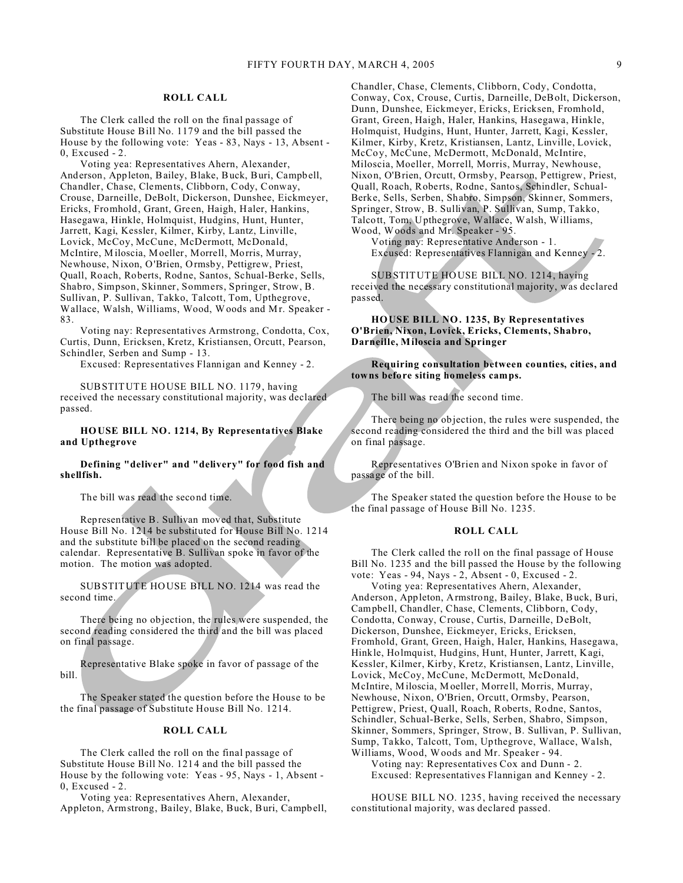# **ROLL CALL**

The Clerk called the roll on the final passage of Substitute House Bill No. 1179 and the bill passed the House by the following vote: Yeas - 83, Nays - 13, Absent - 0, Excused - 2.

Voting yea: Representatives Ahern, Alexander, Anderson, Appleton, Bailey, Blake, Buck, Buri, Campbell, Chandler, Chase, Clements, Clibborn, Cody, Conway, Crouse, Darneille, DeBolt, Dickerson, Dunshee, Eickmeyer, Ericks, Fromhold, Grant, Green, Haigh, Haler, Hankins, Hasegawa, Hinkle, Holmquist, Hudgins, Hunt, Hunter, Jarrett, Kagi, Kessler, Kilmer, Kirby, Lantz, Linville, Lovick, McCoy, McCune, McDermott, McDonald, McIntire, Miloscia, Moeller, Morrell, Morris, Murray, Newhouse, Nixon, O'Brien, Ormsby, Pettigrew, Priest, Quall, Roach, Roberts, Rodne, Santos, Schual-Berke, Sells, Shabro, Simpson, Skinner, Sommers, Springer, Strow, B. Sullivan, P. Sullivan, Takko, Talcott, Tom, Upthegrove, Wallace, Walsh, Williams, Wood, Woods and Mr. Speaker - 83.

Voting nay: Representatives Armstrong, Condotta, Cox, Curtis, Dunn, Ericksen, Kretz, Kristiansen, Orcutt, Pearson, Schindler, Serben and Sump - 13.

Excused: Representatives Flannigan and Kenney - 2.

SUBSTITUTE HOUSE BILL NO. 1179, having received the necessary constitutional majority, was declared passed.

**HOUSE BILL NO. 1214, By Representatives Blake and Upthegrove**

**Defining "deliver" and "delivery" for food fish and shellfish.**

The bill was read the second time.

Representative B. Sullivan moved that, Substitute House Bill No. 1214 be substituted for House Bill No. 1214 and the substitute bill be placed on the second reading calendar. Representative B. Sullivan spoke in favor of the motion. The motion was adopted.

SUBSTITUTE HOUSE BILL NO. 1214 was read the second time.

There being no objection, the rules were suspended, the second reading considered the third and the bill was placed on final passage.

Representative Blake spoke in favor of passage of the bill.

The Speaker stated the question before the House to be the final passage of Substitute House Bill No. 1214.

# **ROLL CALL**

The Clerk called the roll on the final passage of Substitute House Bill No. 1214 and the bill passed the House by the following vote: Yeas - 95, Nays - 1, Absent - 0, Excused - 2.

Voting yea: Representatives Ahern, Alexander, Appleton, Armstrong, Bailey, Blake, Buck, Buri, Campbell, Chandler, Chase, Clements, Clibborn, Cody, Condotta, Conway, Cox, Crouse, Curtis, Darneille, DeBolt, Dickerson, Dunn, Dunshee, Eickmeyer, Ericks, Ericksen, Fromhold, Grant, Green, Haigh, Haler, Hankins, Hasegawa, Hinkle, Holmquist, Hudgins, Hunt, Hunter, Jarrett, Kagi, Kessler, Kilmer, Kirby, Kretz, Kristiansen, Lantz, Linville, Lovick, McCoy, McCune, McDermott, McDonald, McIntire, Miloscia, Moeller, Morrell, Morris, Murray, Newhouse, Nixon, O'Brien, Orcutt, Ormsby, Pearson, Pettigrew, Priest, Quall, Roach, Roberts, Rodne, Santos, Schindler, Schual-Berke, Sells, Serben, Shabro, Simpson, Skinner, Sommers, Springer, Strow, B. Sullivan, P. Sullivan, Sump, Takko, Talcott, Tom, Upthegrove, Wallace, Walsh, Williams, Wood, Woods and Mr. Speaker - 95.

Voting nay: Representative Anderson - 1. Excused: Representatives Flannigan and Kenney - 2.

SUBSTITUTE HOUSE BILL NO. 1214, having received the necessary constitutional majority, was declared passed.

**HOUSE BILL NO. 1235, By Representatives O'Brien, Nixon, Lovick, Ericks, Clements, Shabro, Darneille, Miloscia and Springer**

**Requiring consultation between counties, cities, and towns before siting homeless camps.**

The bill was read the second time.

There being no objection, the rules were suspended, the second reading considered the third and the bill was placed on final passage.

Representatives O'Brien and Nixon spoke in favor of passage of the bill.

The Speaker stated the question before the House to be the final passage of House Bill No. 1235.

#### **ROLL CALL**

The Clerk called the roll on the final passage of House Bill No. 1235 and the bill passed the House by the following vote: Yeas - 94, Nays - 2, Absent - 0, Excused - 2.

Voting yea: Representatives Ahern, Alexander, Anderson, Appleton, Armstrong, Bailey, Blake, Buck, Buri, Campbell, Chandler, Chase, Clements, Clibborn, Cody, Condotta, Conway, Crouse, Curtis, Darneille, DeBolt, Dickerson, Dunshee, Eickmeyer, Ericks, Ericksen, Fromhold, Grant, Green, Haigh, Haler, Hankins, Hasegawa, Hinkle, Holmquist, Hudgins, Hunt, Hunter, Jarrett, Kagi, Kessler, Kilmer, Kirby, Kretz, Kristiansen, Lantz, Linville, Lovick, McCoy, McCune, McDermott, McDonald, McIntire, Miloscia, Moeller, Morrell, Morris, Murray, Newhouse, Nixon, O'Brien, Orcutt, Ormsby, Pearson, Pettigrew, Priest, Quall, Roach, Roberts, Rodne, Santos, Schindler, Schual-Berke, Sells, Serben, Shabro, Simpson, Skinner, Sommers, Springer, Strow, B. Sullivan, P. Sullivan, Sump, Takko, Talcott, Tom, Upthegrove, Wallace, Walsh, Williams, Wood, Woods and Mr. Speaker - 94. Voting nay: Representatives Cox and Dunn - 2.

Excused: Representatives Flannigan and Kenney - 2.

HOUSE BILL NO. 1235, having received the necessary constitutional majority, was declared passed.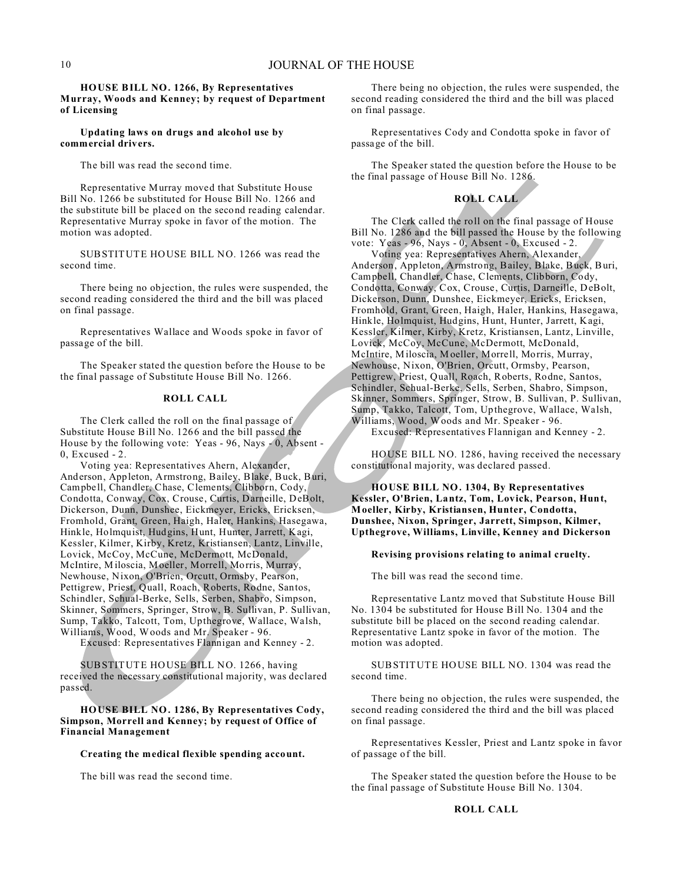# **HOUSE BILL NO. 1266, By Representatives Murray, Woods and Kenney; by request of Department of Licensing**

#### **Updating laws on drugs and alcohol use by commercial drivers.**

The bill was read the second time.

Representative Murray moved that Substitute House Bill No. 1266 be substituted for House Bill No. 1266 and the substitute bill be placed on the second reading calendar. Representative Murray spoke in favor of the motion. The motion was adopted.

SUBSTITUTE HOUSE BILL NO. 1266 was read the second time.

There being no objection, the rules were suspended, the second reading considered the third and the bill was placed on final passage.

Representatives Wallace and Woods spoke in favor of passage of the bill.

The Speaker stated the question before the House to be the final passage of Substitute House Bill No. 1266.

## **ROLL CALL**

The Clerk called the roll on the final passage of Substitute House Bill No. 1266 and the bill passed the House by the following vote: Yeas - 96, Nays - 0, Absent - 0, Excused - 2.

Voting yea: Representatives Ahern, Alexander, Anderson, Appleton, Armstrong, Bailey, Blake, Buck, Buri, Campbell, Chandler, Chase, Clements, Clibborn, Cody, Condotta, Conway, Cox, Crouse, Curtis, Darneille, DeBolt, Dickerson, Dunn, Dunshee, Eickmeyer, Ericks, Ericksen, Fromhold, Grant, Green, Haigh, Haler, Hankins, Hasegawa, Hinkle, Holmquist, Hudgins, Hunt, Hunter, Jarrett, Kagi, Kessler, Kilmer, Kirby, Kretz, Kristiansen, Lantz, Linville, Lovick, McCoy, McCune, McDermott, McDonald, McIntire, Miloscia, Moeller, Morrell, Morris, Murray, Newhouse, Nixon, O'Brien, Orcutt, Ormsby, Pearson, Pettigrew, Priest, Quall, Roach, Roberts, Rodne, Santos, Schindler, Schual-Berke, Sells, Serben, Shabro, Simpson, Skinner, Sommers, Springer, Strow, B. Sullivan, P. Sullivan, Sump, Takko, Talcott, Tom, Upthegrove, Wallace, Walsh, Williams, Wood, Woods and Mr. Speaker - 96.

Excused: Representatives Flannigan and Kenney - 2.

SUBSTITUTE HOUSE BILL NO. 1266, having received the necessary constitutional majority, was declared passed.

# **HOUSE BILL NO. 1286, By Representatives Cody, Simpson, Morrell and Kenney; by request of Office of Financial Management**

# **Creating the medical flexible spending account.**

The bill was read the second time.

There being no objection, the rules were suspended, the second reading considered the third and the bill was placed on final passage.

Representatives Cody and Condotta spoke in favor of passage of the bill.

The Speaker stated the question before the House to be the final passage of House Bill No. 1286.

# **ROLL CALL**

The Clerk called the roll on the final passage of House Bill No. 1286 and the bill passed the House by the following vote: Yeas - 96, Nays - 0, Absent - 0, Excused - 2.

Voting yea: Representatives Ahern, Alexander, Anderson, Appleton, Armstrong, Bailey, Blake, Buck, Buri, Campbell, Chandler, Chase, Clements, Clibborn, Cody, Condotta, Conway, Cox, Crouse, Curtis, Darneille, DeBolt, Dickerson, Dunn, Dunshee, Eickmeyer, Ericks, Ericksen, Fromhold, Grant, Green, Haigh, Haler, Hankins, Hasegawa, Hinkle, Holmquist, Hudgins, Hunt, Hunter, Jarrett, Kagi, Kessler, Kilmer, Kirby, Kretz, Kristiansen, Lantz, Linville, Lovick, McCoy, McCune, McDermott, McDonald, McIntire, Miloscia, Moeller, Morrell, Morris, Murray, Newhouse, Nixon, O'Brien, Orcutt, Ormsby, Pearson, Pettigrew, Priest, Quall, Roach, Roberts, Rodne, Santos, Schindler, Schual-Berke, Sells, Serben, Shabro, Simpson, Skinner, Sommers, Springer, Strow, B. Sullivan, P. Sullivan, Sump, Takko, Talcott, Tom, Upthegrove, Wallace, Walsh, Williams, Wood, Woods and Mr. Speaker - 96.

Excused: Representatives Flannigan and Kenney - 2.

HOUSE BILL NO. 1286, having received the necessary constitutional majority, was declared passed.

**HOUSE BILL NO. 1304, By Representatives Kessler, O'Brien, Lantz, Tom, Lovick, Pearson, Hunt, Moeller, Kirby, Kristiansen, Hunter, Condotta, Dunshee, Nixon, Springer, Jarrett, Simpson, Kilmer, Upthegrove, Williams, Linville, Kenney and Dickerson**

#### **Revising provisions relating to animal cruelty.**

The bill was read the second time.

Representative Lantz moved that Substitute House Bill No. 1304 be substituted for House Bill No. 1304 and the substitute bill be placed on the second reading calendar. Representative Lantz spoke in favor of the motion. The motion was adopted.

SUBSTITUTE HOUSE BILL NO. 1304 was read the second time.

There being no objection, the rules were suspended, the second reading considered the third and the bill was placed on final passage.

Representatives Kessler, Priest and Lantz spoke in favor of passage of the bill.

The Speaker stated the question before the House to be the final passage of Substitute House Bill No. 1304.

**ROLL CALL**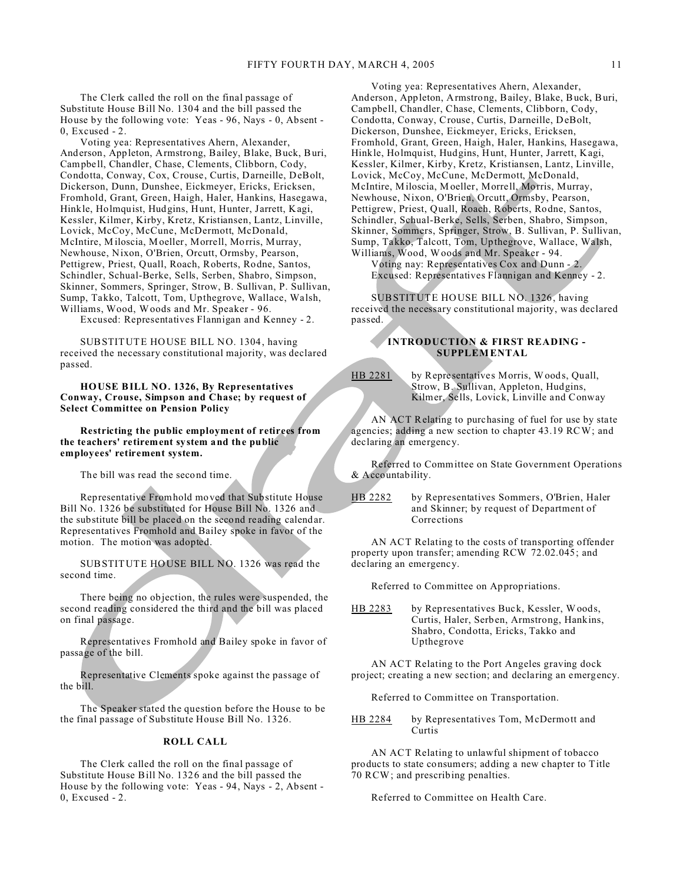The Clerk called the roll on the final passage of Substitute House Bill No. 1304 and the bill passed the House by the following vote: Yeas - 96, Nays - 0, Absent - 0, Excused - 2.

Voting yea: Representatives Ahern, Alexander, Anderson, Appleton, Armstrong, Bailey, Blake, Buck, Buri, Campbell, Chandler, Chase, Clements, Clibborn, Cody, Condotta, Conway, Cox, Crouse, Curtis, Darneille, DeBolt, Dickerson, Dunn, Dunshee, Eickmeyer, Ericks, Ericksen, Fromhold, Grant, Green, Haigh, Haler, Hankins, Hasegawa, Hinkle, Holmquist, Hudgins, Hunt, Hunter, Jarrett, Kagi, Kessler, Kilmer, Kirby, Kretz, Kristiansen, Lantz, Linville, Lovick, McCoy, McCune, McDermott, McDonald, McIntire, Miloscia, Moeller, Morrell, Morris, Murray, Newhouse, Nixon, O'Brien, Orcutt, Ormsby, Pearson, Pettigrew, Priest, Quall, Roach, Roberts, Rodne, Santos, Schindler, Schual-Berke, Sells, Serben, Shabro, Simpson, Skinner, Sommers, Springer, Strow, B. Sullivan, P. Sullivan, Sump, Takko, Talcott, Tom, Upthegrove, Wallace, Walsh, Williams, Wood, Woods and Mr. Speaker - 96.

Excused: Representatives Flannigan and Kenney - 2.

SUBSTITUTE HOUSE BILL NO. 1304, having received the necessary constitutional majority, was declared passed.

**HOUSE BILL NO. 1326, By Representatives Conway, Crouse, Simpson and Chase; by request of Select Committee on Pension Policy**

**Restricting the public employment of retirees from the teachers' retirement system and the public employees' retirement system.**

The bill was read the second time.

Representative Fromhold moved that Substitute House Bill No. 1326 be substituted for House Bill No. 1326 and the substitute bill be placed on the second reading calendar. Representatives Fromhold and Bailey spoke in favor of the motion. The motion was adopted.

SUBSTITUTE HOUSE BILL NO. 1326 was read the second time.

There being no objection, the rules were suspended, the second reading considered the third and the bill was placed on final passage.

Representatives Fromhold and Bailey spoke in favor of passage of the bill.

Representative Clements spoke against the passage of the bill.

The Speaker stated the question before the House to be the final passage of Substitute House Bill No. 1326.

## **ROLL CALL**

The Clerk called the roll on the final passage of Substitute House Bill No. 1326 and the bill passed the House by the following vote: Yeas - 94, Nays - 2, Absent - 0, Excused - 2.

Voting yea: Representatives Ahern, Alexander, Anderson, Appleton, Armstrong, Bailey, Blake, Buck, Buri, Campbell, Chandler, Chase, Clements, Clibborn, Cody, Condotta, Conway, Crouse, Curtis, Darneille, DeBolt, Dickerson, Dunshee, Eickmeyer, Ericks, Ericksen, Fromhold, Grant, Green, Haigh, Haler, Hankins, Hasegawa, Hinkle, Holmquist, Hudgins, Hunt, Hunter, Jarrett, Kagi, Kessler, Kilmer, Kirby, Kretz, Kristiansen, Lantz, Linville, Lovick, McCoy, McCune, McDermott, McDonald, McIntire, Miloscia, Moeller, Morrell, Morris, Murray, Newhouse, Nixon, O'Brien, Orcutt, Ormsby, Pearson, Pettigrew, Priest, Quall, Roach, Roberts, Rodne, Santos, Schindler, Schual-Berke, Sells, Serben, Shabro, Simpson, Skinner, Sommers, Springer, Strow, B. Sullivan, P. Sullivan, Sump, Takko, Talcott, Tom, Upthegrove, Wallace, Walsh, Williams, Wood, Woods and Mr. Speaker - 94.

Voting nay: Representatives Cox and Dunn - 2. Excused: Representatives Flannigan and Kenney - 2.

SUBSTITUTE HOUSE BILL NO. 1326, having received the necessary constitutional majority, was declared passed.

# **INTRODUCTION & FIRST READING - SUPPLEMENTAL**

HB 2281 by Representatives Morris, Woods, Quall, Strow, B. Sullivan, Appleton, Hudgins, Kilmer, Sells, Lovick, Linville and Conway

AN ACT Relating to purchasing of fuel for use by state agencies; adding a new section to chapter 43.19 RCW; and declaring an emergency.

Referred to Committee on State Government Operations & Accountability.

HB 2282 by Representatives Sommers, O'Brien, Haler and Skinner; by request of Department of Corrections

AN ACT Relating to the costs of transporting offender property upon transfer; amending RCW 72.02.045; and declaring an emergency.

Referred to Committee on Appropriations.

HB 2283 by Representatives Buck, Kessler, Woods, Curtis, Haler, Serben, Armstrong, Hankins, Shabro, Condotta, Ericks, Takko and Upthegrove

AN ACT Relating to the Port Angeles graving dock project; creating a new section; and declaring an emergency.

Referred to Committee on Transportation.

HB 2284 by Representatives Tom, McDermott and Curtis

AN ACT Relating to unlawful shipment of tobacco products to state consumers; adding a new chapter to Title 70 RCW; and prescribing penalties.

Referred to Committee on Health Care.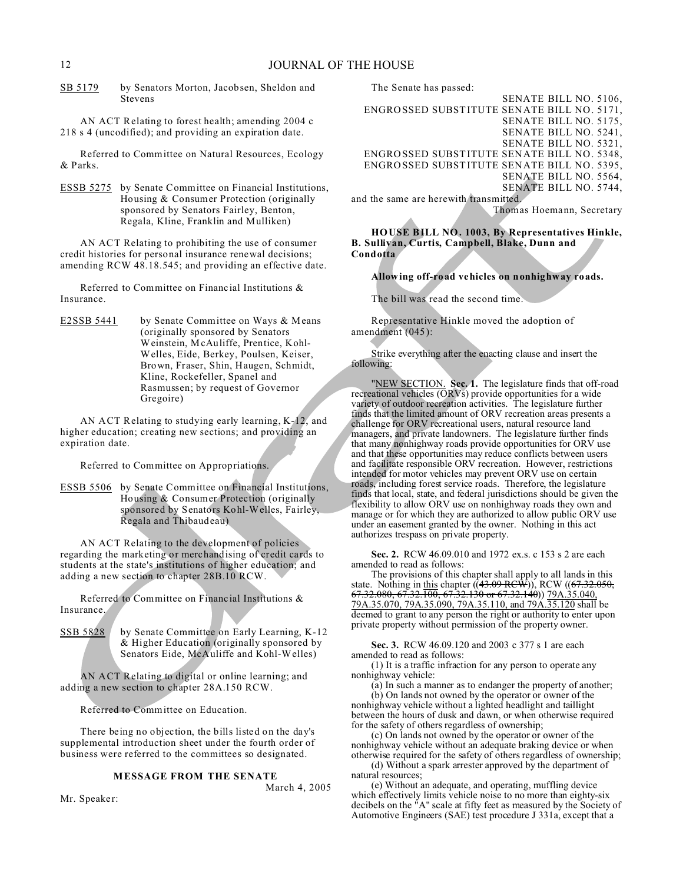SB 5179 by Senators Morton, Jacobsen, Sheldon and Stevens

AN ACT Relating to forest health; amending 2004 c 218 s 4 (uncodified); and providing an expiration date.

Referred to Committee on Natural Resources, Ecology & Parks.

ESSB 5275 by Senate Committee on Financial Institutions, Housing & Consumer Protection (originally sponsored by Senators Fairley, Benton, Regala, Kline, Franklin and Mulliken)

AN ACT Relating to prohibiting the use of consumer credit histories for personal insurance renewal decisions; amending RCW 48.18.545; and providing an effective date.

Referred to Committee on Financial Institutions & Insurance.

E2SSB 5441 by Senate Committee on Ways & Means (originally sponsored by Senators Weinstein, McAuliffe, Prentice, Kohl-Welles, Eide, Berkey, Poulsen, Keiser, Brown, Fraser, Shin, Haugen, Schmidt, Kline, Rockefeller, Spanel and Rasmussen; by request of Governor Gregoire)

AN ACT Relating to studying early learning, K-12, and higher education; creating new sections; and providing an expiration date.

Referred to Committee on Appropriations.

ESSB 5506 by Senate Committee on Financial Institutions, Housing & Consumer Protection (originally sponsored by Senators Kohl-Welles, Fairley, Regala and Thibaudeau)

AN ACT Relating to the development of policies regarding the marketing or merchandising of credit cards to students at the state's institutions of higher education; and adding a new section to chapter 28B.10 RCW.

Referred to Committee on Financial Institutions & Insurance.

SSB 5828 by Senate Committee on Early Learning, K-12 & Higher Education (originally sponsored by Senators Eide, McAuliffe and Kohl-Welles)

AN ACT Relating to digital or online learning; and adding a new section to chapter 28A.150 RCW.

Referred to Committee on Education.

Mr. Speaker:

There being no objection, the bills listed on the day's supplemental introduction sheet under the fourth order of business were referred to the committees so designated.

#### **MESSAGE FROM THE SENATE**

March 4, 2005

The Senate has passed:

SENATE BILL NO. 5106, ENGROSSED SUBSTITUTE SENATE BILL NO. 5171, SENATE BILL NO. 5175, SENATE BILL NO. 5241, SENATE BILL NO. 5321, ENGROSSED SUBSTITUTE SENATE BILL NO. 5348, ENGROSSED SUBSTITUTE SENATE BILL NO. 5395, SENATE BILL NO. 5564, SENATE BILL NO. 5744, and the same are herewith transmitted.

Thomas Hoemann, Secretary

**HOUSE BILL NO. 1003, By Representatives Hinkle, B. Sullivan, Curtis, Campbell, Blake, Dunn and Condotta**

# **Allowing off-road vehicles on nonhighway roads.**

The bill was read the second time.

Representative Hinkle moved the adoption of amendment (045):

Strike everything after the enacting clause and insert the following:

"NEW SECTION. **Sec. 1.** The legislature finds that off-road recreational vehicles (ORVs) provide opportunities for a wide variety of outdoor recreation activities. The legislature further finds that the limited amount of ORV recreation areas presents a challenge for ORV recreational users, natural resource land managers, and private landowners. The legislature further finds that many nonhighway roads provide opportunities for ORV use and that these opportunities may reduce conflicts between users and facilitate responsible ORV recreation. However, restrictions intended for motor vehicles may prevent ORV use on certain roads, including forest service roads. Therefore, the legislature finds that local, state, and federal jurisdictions should be given the flexibility to allow ORV use on nonhighway roads they own and manage or for which they are authorized to allow public ORV use under an easement granted by the owner. Nothing in this act authorizes trespass on private property.

**Sec. 2.** RCW 46.09.010 and 1972 ex.s. c 153 s 2 are each amended to read as follows:

The provisions of this chapter shall apply to all lands in this state. Nothing in this chapter  $((43.09 \text{ }\mathrm{RCW}))$ , RCW  $((67.32.050,$ 67.32.080, 67.32.100, 67.32.130 or 67.32.140)) 79A.35.040, 79A.35.070, 79A.35.090, 79A.35.110, and 79A.35.120 shall be deemed to grant to any person the right or authority to enter upon private property without permission of the property owner.

**Sec. 3.** RCW 46.09.120 and 2003 c 377 s 1 are each amended to read as follows:

(1) It is a traffic infraction for any person to operate any nonhighway vehicle:

(a) In such a manner as to endanger the property of another; (b) On lands not owned by the operator or owner of the nonhighway vehicle without a lighted headlight and taillight between the hours of dusk and dawn, or when otherwise required for the safety of others regardless of ownership;

(c) On lands not owned by the operator or owner of the nonhighway vehicle without an adequate braking device or when otherwise required for the safety of others regardless of ownership;

(d) Without a spark arrester approved by the department of natural resources;

(e) Without an adequate, and operating, muffling device which effectively limits vehicle noise to no more than eighty-six decibels on the "A" scale at fifty feet as measured by the Society of Automotive Engineers (SAE) test procedure J 331a, except that a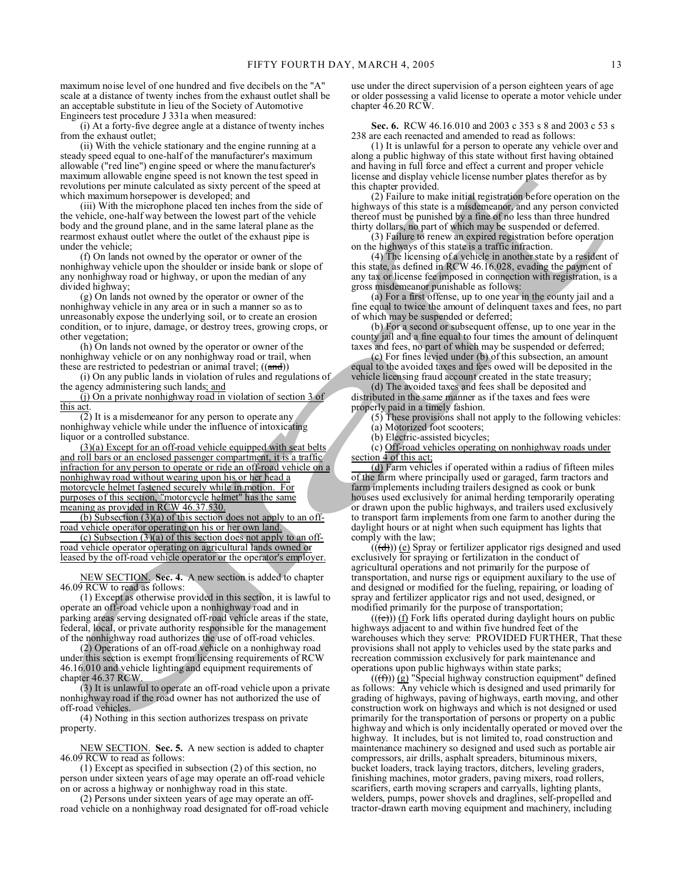maximum noise level of one hundred and five decibels on the "A" scale at a distance of twenty inches from the exhaust outlet shall be an acceptable substitute in lieu of the Society of Automotive Engineers test procedure J 331a when measured:

(i) At a forty-five degree angle at a distance of twenty inches from the exhaust outlet;

(ii) With the vehicle stationary and the engine running at a steady speed equal to one-half of the manufacturer's maximum allowable ("red line") engine speed or where the manufacturer's maximum allowable engine speed is not known the test speed in revolutions per minute calculated as sixty percent of the speed at which maximum horsepower is developed; and

(iii) With the microphone placed ten inches from the side of the vehicle, one-half way between the lowest part of the vehicle body and the ground plane, and in the same lateral plane as the rearmost exhaust outlet where the outlet of the exhaust pipe is under the vehicle;

(f) On lands not owned by the operator or owner of the nonhighway vehicle upon the shoulder or inside bank or slope of any nonhighway road or highway, or upon the median of any divided highway;

(g) On lands not owned by the operator or owner of the nonhighway vehicle in any area or in such a manner so as to unreasonably expose the underlying soil, or to create an erosion condition, or to injure, damage, or destroy trees, growing crops, or other vegetation;

(h) On lands not owned by the operator or owner of the nonhighway vehicle or on any nonhighway road or trail, when these are restricted to pedestrian or animal travel;  $((and))$ 

(i) On any public lands in violation of rules and regulations of the agency administering such lands; and

(j) On a private nonhighway road in violation of section 3 of this act.

(2) It is a misdemeanor for any person to operate any nonhighway vehicle while under the influence of intoxicating liquor or a controlled substance.

(3)(a) Except for an off-road vehicle equipped with seat belts and roll bars or an enclosed passenger compartment, it is a traffic infraction for any person to operate or ride an off-road vehicle on a nonhighway road without wearing upon his or her head a motorcycle helmet fastened securely while in motion. For purposes of this section, "motorcycle helmet" has the same meaning as provided in RCW 46.37.530.

(b) Subsection (3)(a) of this section does not apply to an offroad vehicle operator operating on his or her own land.

(c) Subsection  $(3)(a)$  of this section does not apply to an offroad vehicle operator operating on agricultural lands owned or leased by the off-road vehicle operator or the operator's employer.

NEW SECTION. **Sec. 4.** A new section is added to chapter 46.09 RCW to read as follows:

(1) Except as otherwise provided in this section, it is lawful to operate an off-road vehicle upon a nonhighway road and in parking areas serving designated off-road vehicle areas if the state, federal, local, or private authority responsible for the management of the nonhighway road authorizes the use of off-road vehicles.

(2) Operations of an off-road vehicle on a nonhighway road under this section is exempt from licensing requirements of RCW 46.16.010 and vehicle lighting and equipment requirements of chapter 46.37 RCW.

(3) It is unlawful to operate an off-road vehicle upon a private nonhighway road if the road owner has not authorized the use of off-road vehicles.

(4) Nothing in this section authorizes trespass on private property.

NEW SECTION. **Sec. 5.** A new section is added to chapter 46.09 RCW to read as follows:

(1) Except as specified in subsection (2) of this section, no person under sixteen years of age may operate an off-road vehicle on or across a highway or nonhighway road in this state.

(2) Persons under sixteen years of age may operate an offroad vehicle on a nonhighway road designated for off-road vehicle use under the direct supervision of a person eighteen years of age or older possessing a valid license to operate a motor vehicle under chapter 46.20 RCW.

**Sec. 6.** RCW 46.16.010 and 2003 c 353 s 8 and 2003 c 53 s 238 are each reenacted and amended to read as follows:

(1) It is unlawful for a person to operate any vehicle over and along a public highway of this state without first having obtained and having in full force and effect a current and proper vehicle license and display vehicle license number plates therefor as by this chapter provided.

(2) Failure to make initial registration before operation on the highways of this state is a misdemeanor, and any person convicted thereof must be punished by a fine of no less than three hundred thirty dollars, no part of which may be suspended or deferred.

(3) Failure to renew an expired registration before operation on the highways of this state is a traffic infraction.

(4) The licensing of a vehicle in another state by a resident of this state, as defined in RCW 46.16.028, evading the payment of any tax or license fee imposed in connection with registration, is a gross misdemeanor punishable as follows:

(a) For a first offense, up to one year in the county jail and a fine equal to twice the amount of delinquent taxes and fees, no part of which may be suspended or deferred;

(b) For a second or subsequent offense, up to one year in the county jail and a fine equal to four times the amount of delinquent taxes and fees, no part of which may be suspended or deferred;

(c) For fines levied under (b) of this subsection, an amount equal to the avoided taxes and fees owed will be deposited in the vehicle licensing fraud account created in the state treasury;

(d) The avoided taxes and fees shall be deposited and distributed in the same manner as if the taxes and fees were properly paid in a timely fashion.

(5) These provisions shall not apply to the following vehicles:

(a) Motorized foot scooters;

(b) Electric-assisted bicycles;

(c) Off-road vehicles operating on nonhighway roads under section 4 of this act;

(d) Farm vehicles if operated within a radius of fifteen miles of the farm where principally used or garaged, farm tractors and farm implements including trailers designed as cook or bunk houses used exclusively for animal herding temporarily operating or drawn upon the public highways, and trailers used exclusively to transport farm implements from one farm to another during the daylight hours or at night when such equipment has lights that comply with the law;

 $((\text{(d)}))$  (e) Spray or fertilizer applicator rigs designed and used exclusively for spraying or fertilization in the conduct of agricultural operations and not primarily for the purpose of transportation, and nurse rigs or equipment auxiliary to the use of and designed or modified for the fueling, repairing, or loading of spray and fertilizer applicator rigs and not used, designed, or modified primarily for the purpose of transportation;

 $((e))$  (f) Fork lifts operated during daylight hours on public highways adjacent to and within five hundred feet of the warehouses which they serve: PROVIDED FURTHER, That these provisions shall not apply to vehicles used by the state parks and recreation commission exclusively for park maintenance and operations upon public highways within state parks;

 $((\text{f})))$  (g) "Special highway construction equipment" defined as follows: Any vehicle which is designed and used primarily for grading of highways, paving of highways, earth moving, and other construction work on highways and which is not designed or used primarily for the transportation of persons or property on a public highway and which is only incidentally operated or moved over the highway. It includes, but is not limited to, road construction and maintenance machinery so designed and used such as portable air compressors, air drills, asphalt spreaders, bituminous mixers, bucket loaders, track laying tractors, ditchers, leveling graders, finishing machines, motor graders, paving mixers, road rollers, scarifiers, earth moving scrapers and carryalls, lighting plants, welders, pumps, power shovels and draglines, self-propelled and tractor-drawn earth moving equipment and machinery, including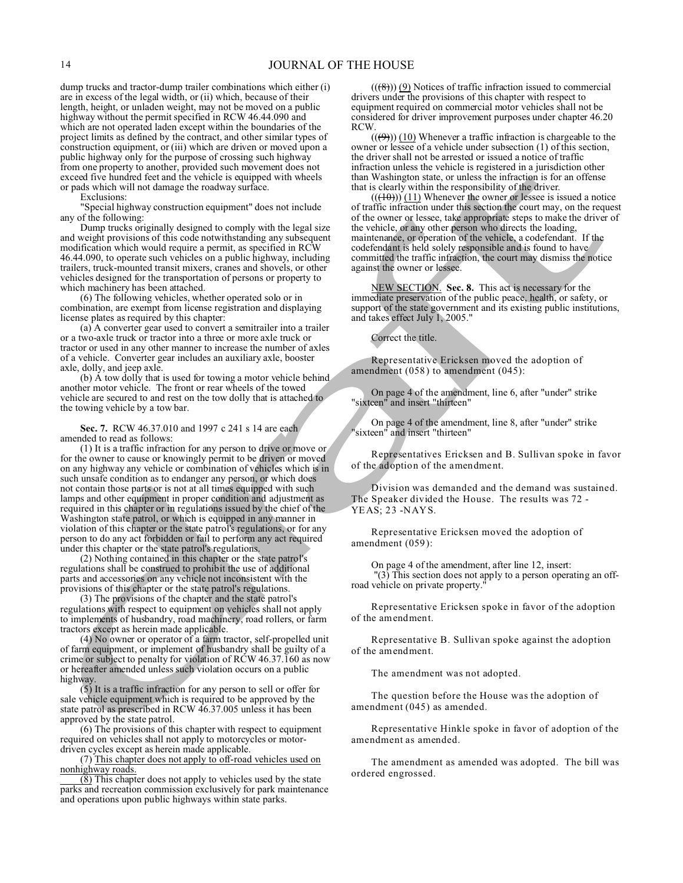dump trucks and tractor-dump trailer combinations which either (i) are in excess of the legal width, or (ii) which, because of their length, height, or unladen weight, may not be moved on a public highway without the permit specified in RCW 46.44.090 and which are not operated laden except within the boundaries of the project limits as defined by the contract, and other similar types of construction equipment, or (iii) which are driven or moved upon a public highway only for the purpose of crossing such highway from one property to another, provided such movement does not exceed five hundred feet and the vehicle is equipped with wheels or pads which will not damage the roadway surface.

Exclusions:

"Special highway construction equipment" does not include any of the following:

Dump trucks originally designed to comply with the legal size and weight provisions of this code notwithstanding any subsequent modification which would require a permit, as specified in RCW 46.44.090, to operate such vehicles on a public highway, including trailers, truck-mounted transit mixers, cranes and shovels, or other vehicles designed for the transportation of persons or property to which machinery has been attached.

(6) The following vehicles, whether operated solo or in combination, are exempt from license registration and displaying license plates as required by this chapter:

(a) A converter gear used to convert a semitrailer into a trailer or a two-axle truck or tractor into a three or more axle truck or tractor or used in any other manner to increase the number of axles of a vehicle. Converter gear includes an auxiliary axle, booster axle, dolly, and jeep axle.

(b) A tow dolly that is used for towing a motor vehicle behind another motor vehicle. The front or rear wheels of the towed vehicle are secured to and rest on the tow dolly that is attached to the towing vehicle by a tow bar.

**Sec. 7.** RCW 46.37.010 and 1997 c 241 s 14 are each amended to read as follows:

(1) It is a traffic infraction for any person to drive or move or for the owner to cause or knowingly permit to be driven or moved on any highway any vehicle or combination of vehicles which is in such unsafe condition as to endanger any person, or which does not contain those parts or is not at all times equipped with such lamps and other equipment in proper condition and adjustment as required in this chapter or in regulations issued by the chief of the Washington state patrol, or which is equipped in any manner in violation of this chapter or the state patrol's regulations, or for any person to do any act forbidden or fail to perform any act required under this chapter or the state patrol's regulations.

(2) Nothing contained in this chapter or the state patrol's regulations shall be construed to prohibit the use of additional parts and accessories on any vehicle not inconsistent with the provisions of this chapter or the state patrol's regulations.

(3) The provisions of the chapter and the state patrol's regulations with respect to equipment on vehicles shall not apply to implements of husbandry, road machinery, road rollers, or farm tractors except as herein made applicable.

(4) No owner or operator of a farm tractor, self-propelled unit of farm equipment, or implement of husbandry shall be guilty of a crime or subject to penalty for violation of RCW 46.37.160 as now or hereafter amended unless such violation occurs on a public highway.

(5) It is a traffic infraction for any person to sell or offer for sale vehicle equipment which is required to be approved by the state patrol as prescribed in RCW 46.37.005 unless it has been approved by the state patrol.

(6) The provisions of this chapter with respect to equipment required on vehicles shall not apply to motorcycles or motordriven cycles except as herein made applicable.

(7) This chapter does not apply to off-road vehicles used on nonhighway roads.

(8) This chapter does not apply to vehicles used by the state parks and recreation commission exclusively for park maintenance and operations upon public highways within state parks.

 $((\textcircled{\textcircled{\textcirc}}))$  (9) Notices of traffic infraction issued to commercial drivers under the provisions of this chapter with respect to equipment required on commercial motor vehicles shall not be considered for driver improvement purposes under chapter 46.20 RCW.

 $((\textcircled{9}))$  (10) Whenever a traffic infraction is chargeable to the owner or lessee of a vehicle under subsection (1) of this section, the driver shall not be arrested or issued a notice of traffic infraction unless the vehicle is registered in a jurisdiction other than Washington state, or unless the infraction is for an offense that is clearly within the responsibility of the driver.

 $((+10))$  (11) Whenever the owner or lessee is issued a notice of traffic infraction under this section the court may, on the request of the owner or lessee, take appropriate steps to make the driver of the vehicle, or any other person who directs the loading, maintenance, or operation of the vehicle, a codefendant. If the codefendant is held solely responsible and is found to have committed the traffic infraction, the court may dismiss the notice against the owner or lessee.

NEW SECTION. **Sec. 8.** This act is necessary for the immediate preservation of the public peace, health, or safety, or support of the state government and its existing public institutions, and takes effect July 1, 2005."

Correct the title.

Representative Ericksen moved the adoption of amendment (058) to amendment (045):

On page 4 of the amendment, line 6, after "under" strike "sixteen" and insert "thirteen"

On page 4 of the amendment, line 8, after "under" strike "sixteen" and insert "thirteen"

Representatives Ericksen and B. Sullivan spoke in favor of the adoption of the amendment.

Division was demanded and the demand was sustained. The Speaker divided the House. The results was 72 - YEAS; 23 -NAYS.

Representative Ericksen moved the adoption of amendment (059):

On page 4 of the amendment, after line 12, insert: "(3) This section does not apply to a person operating an offroad vehicle on private property."

Representative Ericksen spoke in favor of the adoption of the amendment.

Representative B. Sullivan spoke against the adoption of the amendment.

The amendment was not adopted.

The question before the House was the adoption of amendment (045) as amended.

Representative Hinkle spoke in favor of adoption of the amendment as amended.

The amendment as amended was adopted. The bill was ordered engrossed.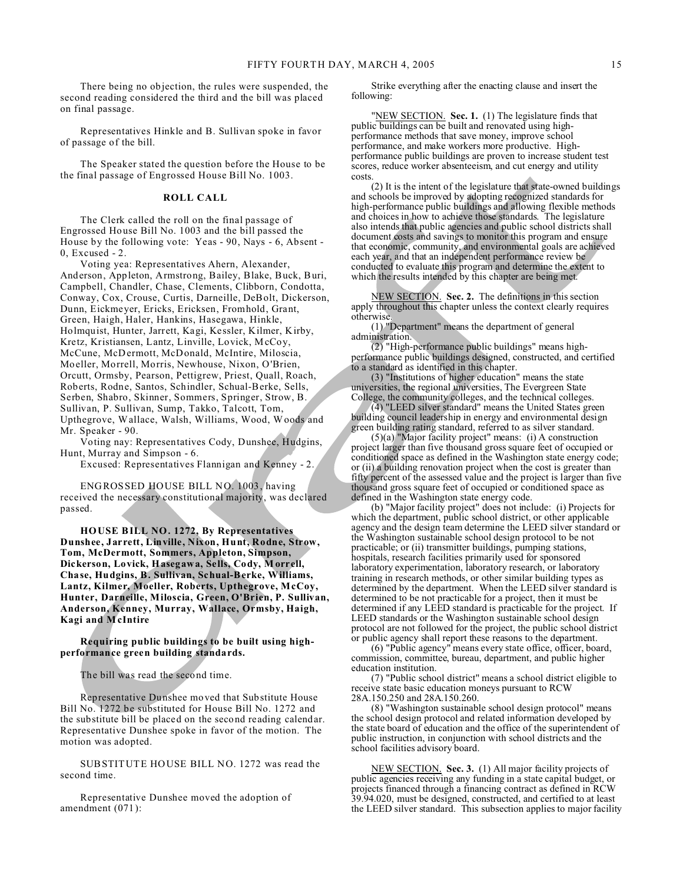There being no objection, the rules were suspended, the second reading considered the third and the bill was placed on final passage.

Representatives Hinkle and B. Sullivan spoke in favor of passage of the bill.

The Speaker stated the question before the House to be the final passage of Engrossed House Bill No. 1003.

#### **ROLL CALL**

The Clerk called the roll on the final passage of Engrossed House Bill No. 1003 and the bill passed the House by the following vote: Yeas - 90, Nays - 6, Absent - 0, Excused - 2.

Voting yea: Representatives Ahern, Alexander, Anderson, Appleton, Armstrong, Bailey, Blake, Buck, Buri, Campbell, Chandler, Chase, Clements, Clibborn, Condotta, Conway, Cox, Crouse, Curtis, Darneille, DeBolt, Dickerson, Dunn, Eickmeyer, Ericks, Ericksen, Fromhold, Grant, Green, Haigh, Haler, Hankins, Hasegawa, Hinkle, Holmquist, Hunter, Jarrett, Kagi, Kessler, Kilmer, Kirby, Kretz, Kristiansen, Lantz, Linville, Lovick, McCoy, McCune, McDermott, McDonald, McIntire, Miloscia, Moeller, Morrell, Morris, Newhouse, Nixon, O'Brien, Orcutt, Ormsby, Pearson, Pettigrew, Priest, Quall, Roach, Roberts, Rodne, Santos, Schindler, Schual-Berke, Sells, Serben, Shabro, Skinner, Sommers, Springer, Strow, B. Sullivan, P. Sullivan, Sump, Takko, Talcott, Tom, Upthegrove, Wallace, Walsh, Williams, Wood, Woods and Mr. Speaker - 90.

Voting nay: Representatives Cody, Dunshee, Hudgins, Hunt, Murray and Simpson - 6.

Excused: Representatives Flannigan and Kenney - 2.

ENGROSSED HOUSE BILL NO. 1003, having received the necessary constitutional majority, was declared passed.

**HOUSE BILL NO. 1272, By Representatives Dunshee, Jarrett, Linville, Nixon, Hunt, Rodne, Strow, Tom, McDermott, Sommers, Appleton, Simpson, Dickerson, Lovick, Hasegawa, Sells, Cody, M orrell, Chase, Hudgins, B. Sullivan, Schual-Berke, Williams, Lantz, Kilmer, Moeller, Roberts, Upthegrove, McCoy, Hunter, Darneille, Miloscia, Green, O'Brien, P. Sullivan, Anderson, Kenney, Murray, Wallace, Ormsby, Haigh, Kagi and McIntire**

**Requiring public buildings to be built using highperformance green building standards.**

The bill was read the second time.

Representative Dunshee moved that Substitute House Bill No. 1272 be substituted for House Bill No. 1272 and the substitute bill be placed on the second reading calendar. Representative Dunshee spoke in favor of the motion. The motion was adopted.

SUBSTITUTE HOUSE BILL NO. 1272 was read the second time.

Representative Dunshee moved the adoption of amendment (071):

Strike everything after the enacting clause and insert the following:

"NEW SECTION. **Sec. 1.** (1) The legislature finds that public buildings can be built and renovated using highperformance methods that save money, improve school performance, and make workers more productive. Highperformance public buildings are proven to increase student test scores, reduce worker absenteeism, and cut energy and utility costs.

(2) It is the intent of the legislature that state-owned buildings and schools be improved by adopting recognized standards for high-performance public buildings and allowing flexible methods and choices in how to achieve those standards. The legislature also intends that public agencies and public school districts shall document costs and savings to monitor this program and ensure that economic, community, and environmental goals are achieved each year, and that an independent performance review be conducted to evaluate this program and determine the extent to which the results intended by this chapter are being met.

NEW SECTION. **Sec. 2.** The definitions in this section apply throughout this chapter unless the context clearly requires otherwise.

(1) "Department" means the department of general administration.

(2) "High-performance public buildings" means highperformance public buildings designed, constructed, and certified to a standard as identified in this chapter.

(3) "Institutions of higher education" means the state universities, the regional universities, The Evergreen State College, the community colleges, and the technical colleges.

(4) "LEED silver standard" means the United States green building council leadership in energy and environmental design green building rating standard, referred to as silver standard.

(5)(a) "Major facility project" means: (i) A construction project larger than five thousand gross square feet of occupied or conditioned space as defined in the Washington state energy code; or (ii) a building renovation project when the cost is greater than fifty percent of the assessed value and the project is larger than five thousand gross square feet of occupied or conditioned space as defined in the Washington state energy code.

(b) "Major facility project" does not include: (i) Projects for which the department, public school district, or other applicable agency and the design team determine the LEED silver standard or the Washington sustainable school design protocol to be not practicable; or (ii) transmitter buildings, pumping stations, hospitals, research facilities primarily used for sponsored laboratory experimentation, laboratory research, or laboratory training in research methods, or other similar building types as determined by the department. When the LEED silver standard is determined to be not practicable for a project, then it must be determined if any LEED standard is practicable for the project. If LEED standards or the Washington sustainable school design protocol are not followed for the project, the public school district or public agency shall report these reasons to the department.

(6) "Public agency" means every state office, officer, board, commission, committee, bureau, department, and public higher education institution.

(7) "Public school district" means a school district eligible to receive state basic education moneys pursuant to RCW 28A.150.250 and 28A.150.260.

(8) "Washington sustainable school design protocol" means the school design protocol and related information developed by the state board of education and the office of the superintendent of public instruction, in conjunction with school districts and the school facilities advisory board.

NEW SECTION. **Sec. 3.** (1) All major facility projects of public agencies receiving any funding in a state capital budget, or projects financed through a financing contract as defined in RCW 39.94.020, must be designed, constructed, and certified to at least the LEED silver standard. This subsection applies to major facility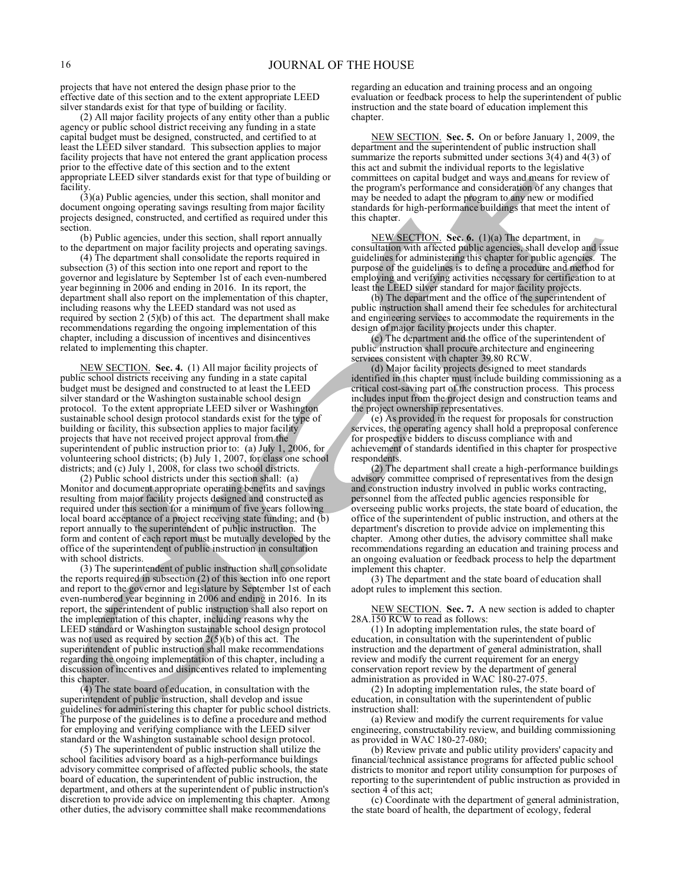projects that have not entered the design phase prior to the effective date of this section and to the extent appropriate LEED silver standards exist for that type of building or facility.

(2) All major facility projects of any entity other than a public agency or public school district receiving any funding in a state capital budget must be designed, constructed, and certified to at least the LEED silver standard. This subsection applies to major facility projects that have not entered the grant application process prior to the effective date of this section and to the extent appropriate LEED silver standards exist for that type of building or facility.

(3)(a) Public agencies, under this section, shall monitor and document ongoing operating savings resulting from major facility projects designed, constructed, and certified as required under this section.

(b) Public agencies, under this section, shall report annually to the department on major facility projects and operating savings.

(4) The department shall consolidate the reports required in subsection (3) of this section into one report and report to the governor and legislature by September 1st of each even-numbered year beginning in 2006 and ending in 2016. In its report, the department shall also report on the implementation of this chapter, including reasons why the LEED standard was not used as required by section  $2(5)(b)$  of this act. The department shall make recommendations regarding the ongoing implementation of this chapter, including a discussion of incentives and disincentives related to implementing this chapter.

NEW SECTION. **Sec. 4.** (1) All major facility projects of public school districts receiving any funding in a state capital budget must be designed and constructed to at least the LEED silver standard or the Washington sustainable school design protocol. To the extent appropriate LEED silver or Washington sustainable school design protocol standards exist for the type of building or facility, this subsection applies to major facility projects that have not received project approval from the superintendent of public instruction prior to: (a) July 1, 2006, for volunteering school districts; (b) July 1, 2007, for class one school districts; and (c) July 1, 2008, for class two school districts.

(2) Public school districts under this section shall: (a) Monitor and document appropriate operating benefits and savings resulting from major facility projects designed and constructed as required under this section for a minimum of five years following local board acceptance of a project receiving state funding; and (b) report annually to the superintendent of public instruction. The form and content of each report must be mutually developed by the office of the superintendent of public instruction in consultation with school districts.

(3) The superintendent of public instruction shall consolidate the reports required in subsection (2) of this section into one report and report to the governor and legislature by September 1st of each even-numbered year beginning in 2006 and ending in 2016. In its report, the superintendent of public instruction shall also report on the implementation of this chapter, including reasons why the LEED standard or Washington sustainable school design protocol was not used as required by section  $2(5)(b)$  of this act. The superintendent of public instruction shall make recommendations regarding the ongoing implementation of this chapter, including a discussion of incentives and disincentives related to implementing this chapter.

(4) The state board of education, in consultation with the superintendent of public instruction, shall develop and issue guidelines for administering this chapter for public school districts. The purpose of the guidelines is to define a procedure and method for employing and verifying compliance with the LEED silver standard or the Washington sustainable school design protocol.

(5) The superintendent of public instruction shall utilize the school facilities advisory board as a high-performance buildings advisory committee comprised of affected public schools, the state board of education, the superintendent of public instruction, the department, and others at the superintendent of public instruction's discretion to provide advice on implementing this chapter. Among other duties, the advisory committee shall make recommendations

regarding an education and training process and an ongoing evaluation or feedback process to help the superintendent of public instruction and the state board of education implement this chapter.

NEW SECTION. **Sec. 5.** On or before January 1, 2009, the department and the superintendent of public instruction shall summarize the reports submitted under sections 3(4) and 4(3) of this act and submit the individual reports to the legislative committees on capital budget and ways and means for review of the program's performance and consideration of any changes that may be needed to adapt the program to any new or modified standards for high-performance buildings that meet the intent of this chapter.

NEW SECTION. **Sec. 6.** (1)(a) The department, in consultation with affected public agencies, shall develop and issue guidelines for administering this chapter for public agencies. The purpose of the guidelines is to define a procedure and method for employing and verifying activities necessary for certification to at least the LEED silver standard for major facility projects.

(b) The department and the office of the superintendent of public instruction shall amend their fee schedules for architectural and engineering services to accommodate the requirements in the design of major facility projects under this chapter.

(c) The department and the office of the superintendent of public instruction shall procure architecture and engineering services consistent with chapter 39.80 RCW.

(d) Major facility projects designed to meet standards identified in this chapter must include building commissioning as a critical cost-saving part of the construction process. This process includes input from the project design and construction teams and the project ownership representatives.

(e) As provided in the request for proposals for construction services, the operating agency shall hold a preproposal conference for prospective bidders to discuss compliance with and achievement of standards identified in this chapter for prospective respondents.

(2) The department shall create a high-performance buildings advisory committee comprised of representatives from the design and construction industry involved in public works contracting, personnel from the affected public agencies responsible for overseeing public works projects, the state board of education, the office of the superintendent of public instruction, and others at the department's discretion to provide advice on implementing this chapter. Among other duties, the advisory committee shall make recommendations regarding an education and training process and an ongoing evaluation or feedback process to help the department implement this chapter.

(3) The department and the state board of education shall adopt rules to implement this section.

NEW SECTION. **Sec. 7.** A new section is added to chapter 28A.150 RCW to read as follows:

(1) In adopting implementation rules, the state board of education, in consultation with the superintendent of public instruction and the department of general administration, shall review and modify the current requirement for an energy conservation report review by the department of general administration as provided in WAC 180-27-075.

(2) In adopting implementation rules, the state board of education, in consultation with the superintendent of public instruction shall:

(a) Review and modify the current requirements for value engineering, constructability review, and building commissioning as provided in WAC 180-27-080;

(b) Review private and public utility providers' capacity and financial/technical assistance programs for affected public school districts to monitor and report utility consumption for purposes of reporting to the superintendent of public instruction as provided in section 4 of this act;

(c) Coordinate with the department of general administration, the state board of health, the department of ecology, federal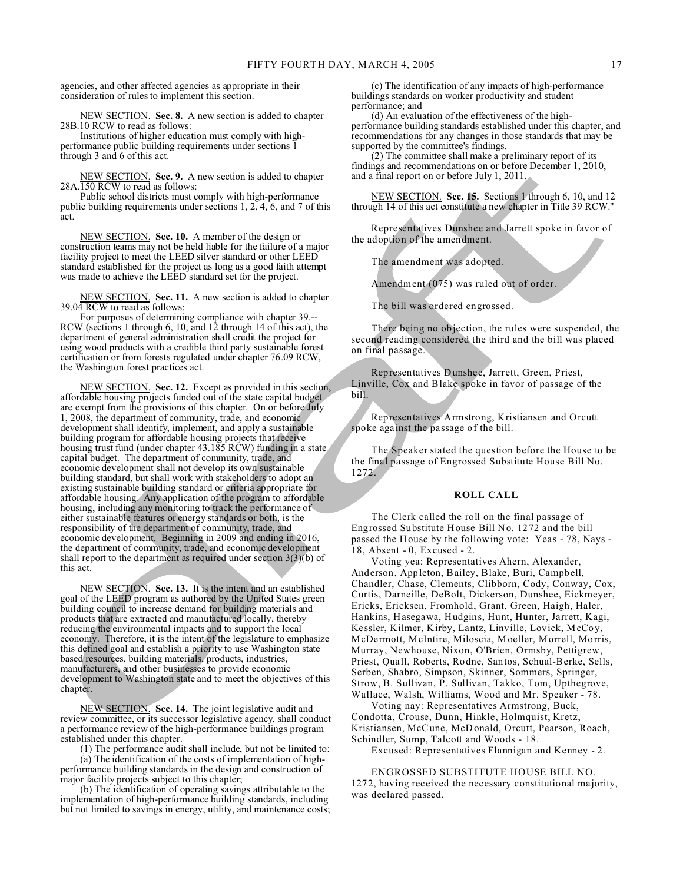agencies, and other affected agencies as appropriate in their consideration of rules to implement this section.

NEW SECTION. **Sec. 8.** A new section is added to chapter 28B.10 RCW to read as follows:

Institutions of higher education must comply with highperformance public building requirements under sections 1 through 3 and 6 of this act.

NEW SECTION. **Sec. 9.** A new section is added to chapter 28A.150 RCW to read as follows:

Public school districts must comply with high-performance public building requirements under sections 1, 2, 4, 6, and 7 of this act.

NEW SECTION. **Sec. 10.** A member of the design or construction teams may not be held liable for the failure of a major facility project to meet the LEED silver standard or other LEED standard established for the project as long as a good faith attempt was made to achieve the LEED standard set for the project.

NEW SECTION. **Sec. 11.** A new section is added to chapter 39.04 RCW to read as follows:

For purposes of determining compliance with chapter 39.-- RCW (sections 1 through 6, 10, and 12 through 14 of this act), the department of general administration shall credit the project for using wood products with a credible third party sustainable forest certification or from forests regulated under chapter 76.09 RCW, the Washington forest practices act.

NEW SECTION. **Sec. 12.** Except as provided in this section, affordable housing projects funded out of the state capital budget are exempt from the provisions of this chapter. On or before July 1, 2008, the department of community, trade, and economic development shall identify, implement, and apply a sustainable building program for affordable housing projects that receive housing trust fund (under chapter 43.185 RCW) funding in a state capital budget. The department of community, trade, and economic development shall not develop its own sustainable building standard, but shall work with stakeholders to adopt an existing sustainable building standard or criteria appropriate for affordable housing. Any application of the program to affordable housing, including any monitoring to track the performance of either sustainable features or energy standards or both, is the responsibility of the department of community, trade, and economic development. Beginning in 2009 and ending in 2016, the department of community, trade, and economic development shall report to the department as required under section  $3(\hat{3})(b)$  of this act.

NEW SECTION. **Sec. 13.** It is the intent and an established goal of the LEED program as authored by the United States green building council to increase demand for building materials and products that are extracted and manufactured locally, thereby reducing the environmental impacts and to support the local economy. Therefore, it is the intent of the legislature to emphasize this defined goal and establish a priority to use Washington state based resources, building materials, products, industries, manufacturers, and other businesses to provide economic development to Washington state and to meet the objectives of this chapter.

NEW SECTION. **Sec. 14.** The joint legislative audit and review committee, or its successor legislative agency, shall conduct a performance review of the high-performance buildings program established under this chapter.

(1) The performance audit shall include, but not be limited to:

(a) The identification of the costs of implementation of highperformance building standards in the design and construction of major facility projects subject to this chapter;

(b) The identification of operating savings attributable to the implementation of high-performance building standards, including but not limited to savings in energy, utility, and maintenance costs;

(c) The identification of any impacts of high-performance buildings standards on worker productivity and student performance; and

(d) An evaluation of the effectiveness of the highperformance building standards established under this chapter, and recommendations for any changes in those standards that may be supported by the committee's findings.

(2) The committee shall make a preliminary report of its findings and recommendations on or before December 1, 2010, and a final report on or before July 1, 2011.

NEW SECTION. **Sec. 15.** Sections 1 through 6, 10, and 12 through 14 of this act constitute a new chapter in Title 39 RCW."

Representatives Dunshee and Jarrett spoke in favor of the adoption of the amendment.

The amendment was adopted.

Amendment (075) was ruled out of order.

The bill was ordered engrossed.

There being no objection, the rules were suspended, the second reading considered the third and the bill was placed on final passage.

Representatives Dunshee, Jarrett, Green, Priest, Linville, Cox and Blake spoke in favor of passage of the bill.

Representatives Armstrong, Kristiansen and Orcutt spoke against the passage of the bill.

The Speaker stated the question before the House to be the final passage of Engrossed Substitute House Bill No. 1272.

# **ROLL CALL**

The Clerk called the roll on the final passage of Engrossed Substitute House Bill No. 1272 and the bill passed the House by the following vote: Yeas - 78, Nays - 18, Absent - 0, Excused - 2.

Voting yea: Representatives Ahern, Alexander, Anderson, Appleton, Bailey, Blake, Buri, Campbell, Chandler, Chase, Clements, Clibborn, Cody, Conway, Cox, Curtis, Darneille, DeBolt, Dickerson, Dunshee, Eickmeyer, Ericks, Ericksen, Fromhold, Grant, Green, Haigh, Haler, Hankins, Hasegawa, Hudgins, Hunt, Hunter, Jarrett, Kagi, Kessler, Kilmer, Kirby, Lantz, Linville, Lovick, McCoy, McDermott, McIntire, Miloscia, Moeller, Morrell, Morris, Murray, Newhouse, Nixon, O'Brien, Ormsby, Pettigrew, Priest, Quall, Roberts, Rodne, Santos, Schual-Berke, Sells, Serben, Shabro, Simpson, Skinner, Sommers, Springer, Strow, B. Sullivan, P. Sullivan, Takko, Tom, Upthegrove, Wallace, Walsh, Williams, Wood and Mr. Speaker - 78.

Voting nay: Representatives Armstrong, Buck, Condotta, Crouse, Dunn, Hinkle, Holmquist, Kretz, Kristiansen, McCune, McDonald, Orcutt, Pearson, Roach, Schindler, Sump, Talcott and Woods - 18.

Excused: Representatives Flannigan and Kenney - 2.

ENGROSSED SUBSTITUTE HOUSE BILL NO. 1272, having received the necessary constitutional majority, was declared passed.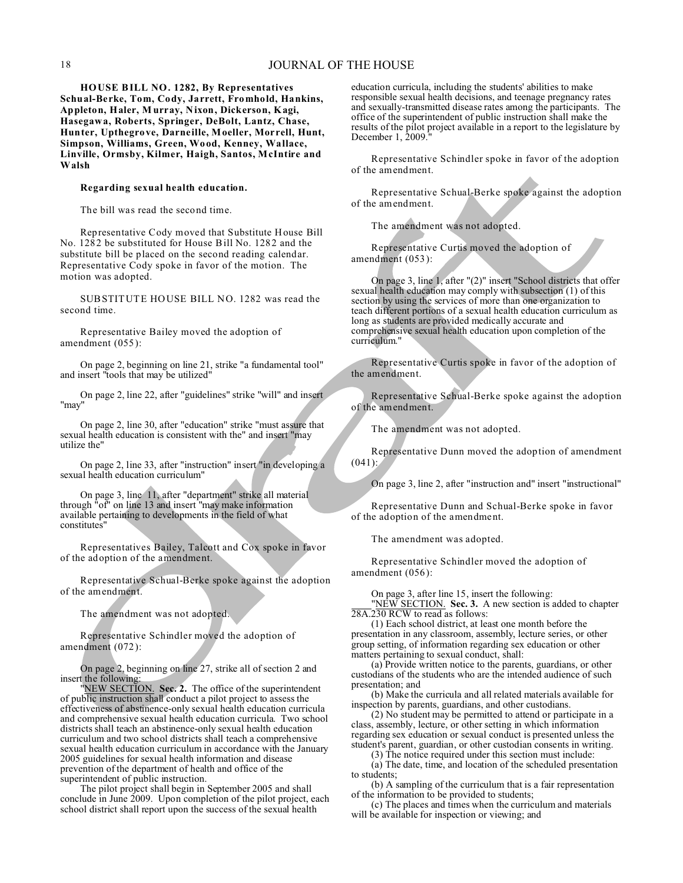**HOUSE BILL NO. 1282, By Representatives Schual-Berke, Tom, Cody, Jarrett, Fromhold, Hankins, Appleton, Haler, M urray, Nixon, Dickerson, Kagi, Hasegawa, Roberts, Springer, DeBolt, Lantz, Chase, Hunter, Upthegrove, Darneille, Moeller, Morrell, Hunt, Simpson, Williams, Green, Wood, Kenney, Wallace, Linville, Ormsby, Kilmer, Haigh, Santos, McIntire and Walsh**

#### **Regarding sexual health education.**

The bill was read the second time.

Representative Cody moved that Substitute House Bill No. 1282 be substituted for House Bill No. 1282 and the substitute bill be placed on the second reading calendar. Representative Cody spoke in favor of the motion. The motion was adopted.

SUBSTITUTE HOUSE BILL NO. 1282 was read the second time.

Representative Bailey moved the adoption of amendment (055):

On page 2, beginning on line 21, strike "a fundamental tool" and insert "tools that may be utilized"

On page 2, line 22, after "guidelines" strike "will" and insert "may"

On page 2, line 30, after "education" strike "must assure that sexual health education is consistent with the" and insert "may utilize the"

On page 2, line 33, after "instruction" insert "in developing a sexual health education curriculum"

On page 3, line 11, after "department" strike all material through "of" on line 13 and insert "may make information available pertaining to developments in the field of what constitutes"

Representatives Bailey, Talcott and Cox spoke in favor of the adoption of the amendment.

Representative Schual-Berke spoke against the adoption of the amendment.

The amendment was not adopted.

Representative Schindler moved the adoption of amendment (072):

On page 2, beginning on line 27, strike all of section 2 and insert the following:

"NEW SECTION. **Sec. 2.** The office of the superintendent of public instruction shall conduct a pilot project to assess the effectiveness of abstinence-only sexual health education curricula and comprehensive sexual health education curricula. Two school districts shall teach an abstinence-only sexual health education curriculum and two school districts shall teach a comprehensive sexual health education curriculum in accordance with the January 2005 guidelines for sexual health information and disease prevention of the department of health and office of the superintendent of public instruction.

The pilot project shall begin in September 2005 and shall conclude in June 2009. Upon completion of the pilot project, each school district shall report upon the success of the sexual health

education curricula, including the students' abilities to make responsible sexual health decisions, and teenage pregnancy rates and sexually-transmitted disease rates among the participants. The office of the superintendent of public instruction shall make the results of the pilot project available in a report to the legislature by December 1, 2009.

Representative Schindler spoke in favor of the adoption of the amendment.

Representative Schual-Berke spoke against the adoption of the amendment.

The amendment was not adopted.

Representative Curtis moved the adoption of amendment (053):

On page 3, line 1, after "(2)" insert "School districts that offer sexual health education may comply with subsection (1) of this section by using the services of more than one organization to teach different portions of a sexual health education curriculum as long as students are provided medically accurate and comprehensive sexual health education upon completion of the curriculum."

Representative Curtis spoke in favor of the adoption of the amendment.

Representative Schual-Berke spoke against the adoption of the amendment.

The amendment was not adopted.

Representative Dunn moved the adoption of amendment (041):

On page 3, line 2, after "instruction and" insert "instructional"

Representative Dunn and Schual-Berke spoke in favor of the adoption of the amendment.

The amendment was adopted.

Representative Schindler moved the adoption of amendment (056):

On page 3, after line 15, insert the following:

"NEW SECTION. **Sec. 3.** A new section is added to chapter 28A.230 RCW to read as follows:

(1) Each school district, at least one month before the presentation in any classroom, assembly, lecture series, or other group setting, of information regarding sex education or other matters pertaining to sexual conduct, shall:

(a) Provide written notice to the parents, guardians, or other custodians of the students who are the intended audience of such presentation; and

(b) Make the curricula and all related materials available for inspection by parents, guardians, and other custodians.

(2) No student may be permitted to attend or participate in a class, assembly, lecture, or other setting in which information regarding sex education or sexual conduct is presented unless the student's parent, guardian, or other custodian consents in writing.

(3) The notice required under this section must include:

(a) The date, time, and location of the scheduled presentation to students;

(b) A sampling of the curriculum that is a fair representation of the information to be provided to students;

(c) The places and times when the curriculum and materials will be available for inspection or viewing; and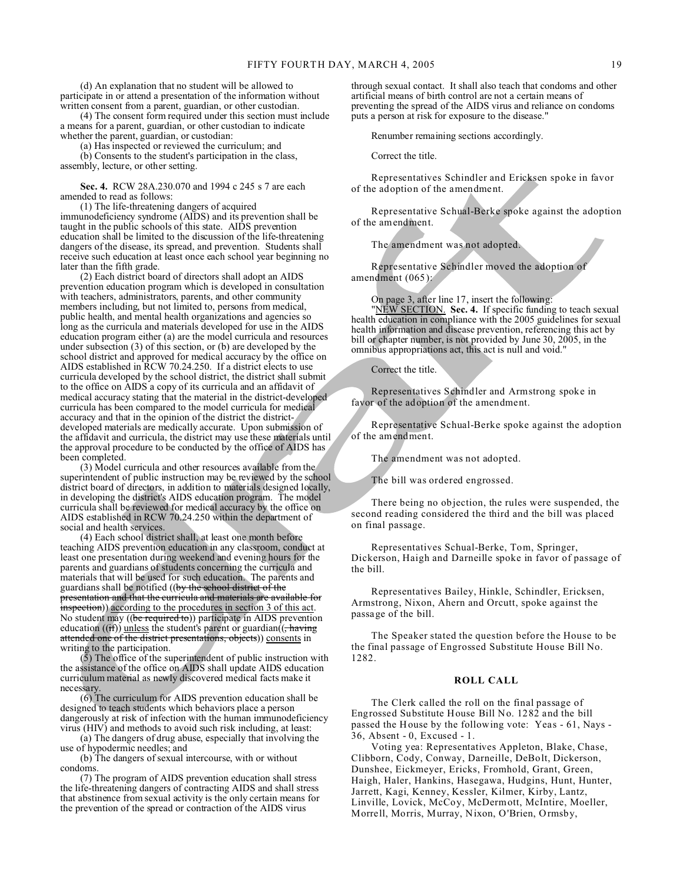(d) An explanation that no student will be allowed to participate in or attend a presentation of the information without written consent from a parent, guardian, or other custodian.

(4) The consent form required under this section must include a means for a parent, guardian, or other custodian to indicate whether the parent, guardian, or custodian:

(a) Has inspected or reviewed the curriculum; and

(b) Consents to the student's participation in the class, assembly, lecture, or other setting.

**Sec. 4.** RCW 28A.230.070 and 1994 c 245 s 7 are each amended to read as follows:

(1) The life-threatening dangers of acquired immunodeficiency syndrome (AIDS) and its prevention shall be taught in the public schools of this state. AIDS prevention education shall be limited to the discussion of the life-threatening dangers of the disease, its spread, and prevention. Students shall receive such education at least once each school year beginning no later than the fifth grade.

(2) Each district board of directors shall adopt an AIDS prevention education program which is developed in consultation with teachers, administrators, parents, and other community members including, but not limited to, persons from medical, public health, and mental health organizations and agencies so long as the curricula and materials developed for use in the AIDS education program either (a) are the model curricula and resources under subsection (3) of this section, or (b) are developed by the school district and approved for medical accuracy by the office on AIDS established in RCW 70.24.250. If a district elects to use curricula developed by the school district, the district shall submit to the office on AIDS a copy of its curricula and an affidavit of medical accuracy stating that the material in the district-developed curricula has been compared to the model curricula for medical accuracy and that in the opinion of the district the districtdeveloped materials are medically accurate. Upon submission of the affidavit and curricula, the district may use these materials until the approval procedure to be conducted by the office of AIDS has been completed.

(3) Model curricula and other resources available from the superintendent of public instruction may be reviewed by the school district board of directors, in addition to materials designed locally, in developing the district's AIDS education program. The model curricula shall be reviewed for medical accuracy by the office on AIDS established in RCW 70.24.250 within the department of social and health services.

(4) Each school district shall, at least one month before teaching AIDS prevention education in any classroom, conduct at least one presentation during weekend and evening hours for the parents and guardians of students concerning the curricula and materials that will be used for such education. The parents and guardians shall be notified ((by the school district of the presentation and that the curricula and materials are available for inspection)) according to the procedures in section 3 of this act. No student may ((be required to)) participate in AIDS prevention education  $((**if**))$  unless the student's parent or guardian $((**colon** + **having**$ attended one of the district presentations, objects)) consents in writing to the participation.

(5) The office of the superintendent of public instruction with the assistance of the office on AIDS shall update AIDS education curriculum material as newly discovered medical facts make it necessary.

(6) The curriculum for AIDS prevention education shall be designed to teach students which behaviors place a person dangerously at risk of infection with the human immunodeficiency virus (HIV) and methods to avoid such risk including, at least:

(a) The dangers of drug abuse, especially that involving the use of hypodermic needles; and

(b) The dangers of sexual intercourse, with or without condoms.

(7) The program of AIDS prevention education shall stress the life-threatening dangers of contracting AIDS and shall stress that abstinence from sexual activity is the only certain means for the prevention of the spread or contraction of the AIDS virus

through sexual contact. It shall also teach that condoms and other artificial means of birth control are not a certain means of preventing the spread of the AIDS virus and reliance on condoms puts a person at risk for exposure to the disease."

Renumber remaining sections accordingly.

Correct the title.

Representatives Schindler and Ericksen spoke in favor of the adoption of the amendment.

Representative Schual-Berke spoke against the adoption of the amendment.

The amendment was not adopted.

Representative Schindler moved the adoption of amendment (065):

On page 3, after line 17, insert the following:

"NEW SECTION. **Sec. 4.** If specific funding to teach sexual health education in compliance with the 2005 guidelines for sexual health information and disease prevention, referencing this act by bill or chapter number, is not provided by June 30, 2005, in the omnibus appropriations act, this act is null and void."

Correct the title.

Representatives Schindler and Armstrong spoke in favor of the adoption of the amendment.

Representative Schual-Berke spoke against the adoption of the amendment.

The amendment was not adopted.

The bill was ordered engrossed.

There being no objection, the rules were suspended, the second reading considered the third and the bill was placed on final passage.

Representatives Schual-Berke, Tom, Springer, Dickerson, Haigh and Darneille spoke in favor of passage of the bill.

Representatives Bailey, Hinkle, Schindler, Ericksen, Armstrong, Nixon, Ahern and Orcutt, spoke against the passage of the bill.

The Speaker stated the question before the House to be the final passage of Engrossed Substitute House Bill No. 1282.

# **ROLL CALL**

The Clerk called the roll on the final passage of Engrossed Substitute House Bill No. 1282 and the bill passed the House by the following vote: Yeas - 61, Nays - 36, Absent - 0, Excused - 1.

Voting yea: Representatives Appleton, Blake, Chase, Clibborn, Cody, Conway, Darneille, DeBolt, Dickerson, Dunshee, Eickmeyer, Ericks, Fromhold, Grant, Green, Haigh, Haler, Hankins, Hasegawa, Hudgins, Hunt, Hunter, Jarrett, Kagi, Kenney, Kessler, Kilmer, Kirby, Lantz, Linville, Lovick, McCoy, McDermott, McIntire, Moeller, Morrell, Morris, Murray, Nixon, O'Brien, Ormsby,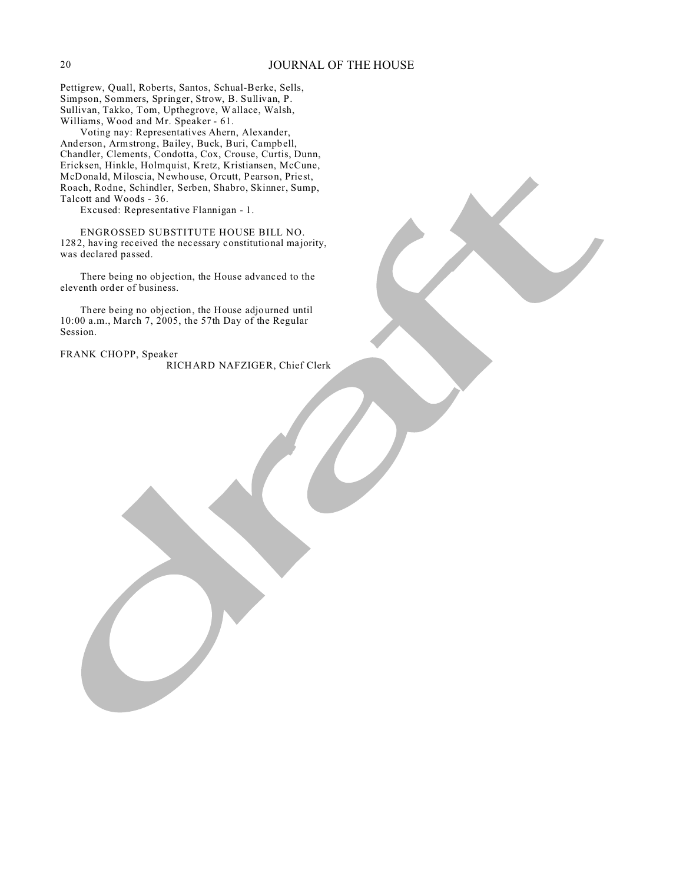Pettigrew, Quall, Roberts, Santos, Schual-Berke, Sells, Simpson, Sommers, Springer, Strow, B. Sullivan, P. Sullivan, Takko, Tom, Upthegrove, Wallace, Walsh, Williams, Wood and Mr. Speaker - 61.

Voting nay: Representatives Ahern, Alexander, Anderson, Armstrong, Bailey, Buck, Buri, Campbell, Chandler, Clements, Condotta, Cox, Crouse, Curtis, Dunn, Ericksen, Hinkle, Holmquist, Kretz, Kristiansen, McCune, McDonald, Miloscia, Newhouse, Orcutt, Pearson, Priest, Roach, Rodne, Schindler, Serben, Shabro, Skinner, Sump, Talcott and Woods - 36.

Excused: Representative Flannigan - 1.

ENGROSSED SUBSTITUTE HOUSE BILL NO. 1282, having received the necessary constitutional majority, was declared passed.

There being no objection, the House advanced to the eleventh order of business.

There being no objection, the House adjourned until 10:00 a.m., March 7, 2005, the 57th Day of the Regular Session.

FRANK CHOPP, Speaker RICHARD NAFZIGER, Chief Clerk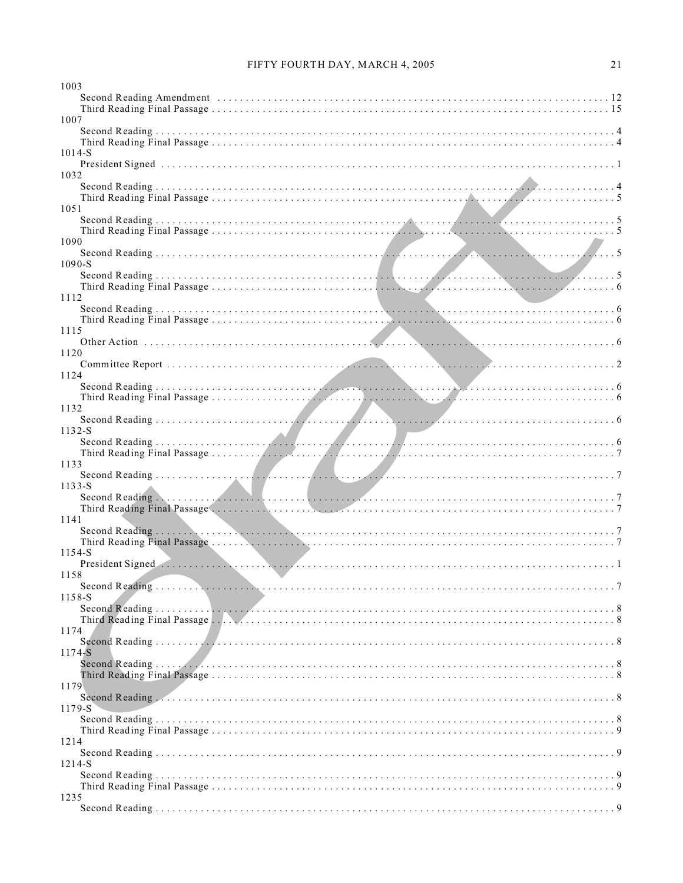| 1003                                                                                                                                                                                                                           |  |
|--------------------------------------------------------------------------------------------------------------------------------------------------------------------------------------------------------------------------------|--|
| Second Reading Amendment (a) respectively. The contract of the second Reading Amendment (b) and the second results of the second results of the second results of the second results of the second results of the second resul |  |
| 1007                                                                                                                                                                                                                           |  |
|                                                                                                                                                                                                                                |  |
|                                                                                                                                                                                                                                |  |
| 1014-S                                                                                                                                                                                                                         |  |
|                                                                                                                                                                                                                                |  |
| 1032                                                                                                                                                                                                                           |  |
|                                                                                                                                                                                                                                |  |
|                                                                                                                                                                                                                                |  |
| 1051                                                                                                                                                                                                                           |  |
|                                                                                                                                                                                                                                |  |
| 1090                                                                                                                                                                                                                           |  |
|                                                                                                                                                                                                                                |  |
| 1090-S                                                                                                                                                                                                                         |  |
|                                                                                                                                                                                                                                |  |
|                                                                                                                                                                                                                                |  |
| 1112                                                                                                                                                                                                                           |  |
|                                                                                                                                                                                                                                |  |
| 1115                                                                                                                                                                                                                           |  |
|                                                                                                                                                                                                                                |  |
| 1120                                                                                                                                                                                                                           |  |
|                                                                                                                                                                                                                                |  |
| 1124                                                                                                                                                                                                                           |  |
|                                                                                                                                                                                                                                |  |
|                                                                                                                                                                                                                                |  |
| 1132                                                                                                                                                                                                                           |  |
| $1132-S$                                                                                                                                                                                                                       |  |
|                                                                                                                                                                                                                                |  |
|                                                                                                                                                                                                                                |  |
| 1133                                                                                                                                                                                                                           |  |
|                                                                                                                                                                                                                                |  |
| $1133-S$                                                                                                                                                                                                                       |  |
|                                                                                                                                                                                                                                |  |
| 1141                                                                                                                                                                                                                           |  |
|                                                                                                                                                                                                                                |  |
|                                                                                                                                                                                                                                |  |
| 1154-S                                                                                                                                                                                                                         |  |
| President Signed (and the contract of the contract of the contract of the contract of the contract of the contract of the contract of the contract of the contract of the contract of the contract of the contract of the cont |  |
| 1158                                                                                                                                                                                                                           |  |
|                                                                                                                                                                                                                                |  |
| 1158-S                                                                                                                                                                                                                         |  |
|                                                                                                                                                                                                                                |  |
| 1174                                                                                                                                                                                                                           |  |
|                                                                                                                                                                                                                                |  |
| 1174-S                                                                                                                                                                                                                         |  |
|                                                                                                                                                                                                                                |  |
|                                                                                                                                                                                                                                |  |
| 1179                                                                                                                                                                                                                           |  |
| Second Reading (All Contract Contract Contract Contract Contract Contract Contract Contract Contract Contract Contract Contract Contract Contract Contract Contract Contract Contract Contract Contract Contract Contract Cont |  |
| 1179-S                                                                                                                                                                                                                         |  |
|                                                                                                                                                                                                                                |  |
| 1214                                                                                                                                                                                                                           |  |
|                                                                                                                                                                                                                                |  |
| 1214-S                                                                                                                                                                                                                         |  |
|                                                                                                                                                                                                                                |  |
|                                                                                                                                                                                                                                |  |
| 1235                                                                                                                                                                                                                           |  |
|                                                                                                                                                                                                                                |  |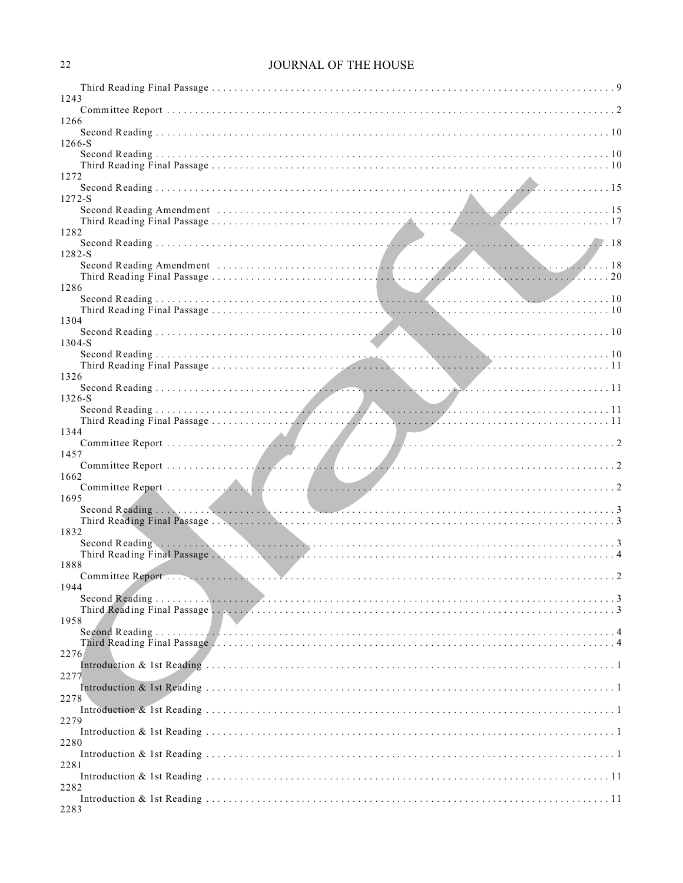# JOURNAL OF THE HOUSE

| 1243       |  |
|------------|--|
|            |  |
| 1266       |  |
| 1266-S     |  |
|            |  |
| 1272       |  |
|            |  |
| $1272 - S$ |  |
|            |  |
| 1282       |  |
| 1282-S     |  |
|            |  |
| 1286       |  |
|            |  |
| 1304       |  |
|            |  |
| 1304-S     |  |
|            |  |
| 1326       |  |
| 1326-S     |  |
|            |  |
| 1344       |  |
| 1457       |  |
|            |  |
| 1662       |  |
| 1695       |  |
|            |  |
| 1832       |  |
|            |  |
| 1888       |  |
|            |  |
| 1944       |  |
|            |  |
| 1958       |  |
|            |  |
| 2276       |  |
| 2277       |  |
|            |  |
| 2278       |  |
| 2279       |  |
| 2280       |  |
|            |  |
| 2281       |  |
| 2282       |  |
| 2283       |  |
|            |  |